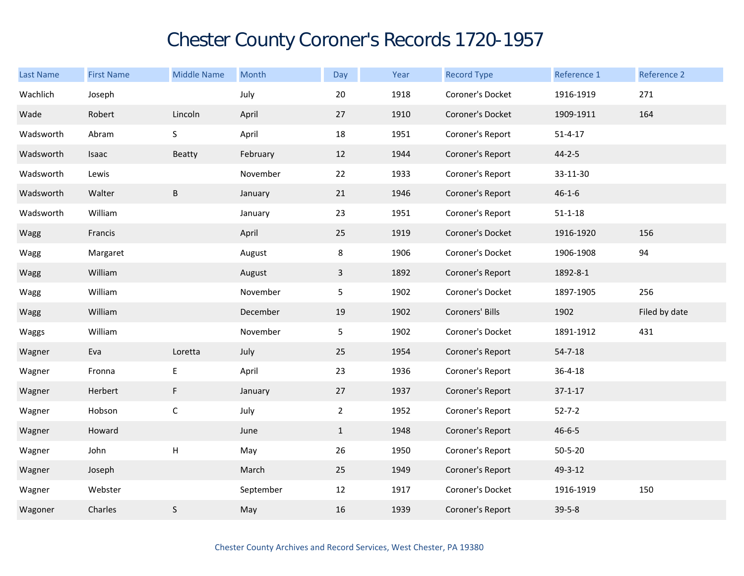## Chester County Coroner's Records 1720-1957

| Last Name | <b>First Name</b> | <b>Middle Name</b> | Month     | Day            | Year | <b>Record Type</b> | Reference 1   | Reference 2   |
|-----------|-------------------|--------------------|-----------|----------------|------|--------------------|---------------|---------------|
| Wachlich  | Joseph            |                    | July      | 20             | 1918 | Coroner's Docket   | 1916-1919     | 271           |
| Wade      | Robert            | Lincoln            | April     | 27             | 1910 | Coroner's Docket   | 1909-1911     | 164           |
| Wadsworth | Abram             | S                  | April     | 18             | 1951 | Coroner's Report   | $51 - 4 - 17$ |               |
| Wadsworth | Isaac             | Beatty             | February  | 12             | 1944 | Coroner's Report   | $44 - 2 - 5$  |               |
| Wadsworth | Lewis             |                    | November  | 22             | 1933 | Coroner's Report   | 33-11-30      |               |
| Wadsworth | Walter            | $\sf B$            | January   | 21             | 1946 | Coroner's Report   | $46 - 1 - 6$  |               |
| Wadsworth | William           |                    | January   | 23             | 1951 | Coroner's Report   | $51 - 1 - 18$ |               |
| Wagg      | Francis           |                    | April     | 25             | 1919 | Coroner's Docket   | 1916-1920     | 156           |
| Wagg      | Margaret          |                    | August    | 8              | 1906 | Coroner's Docket   | 1906-1908     | 94            |
| Wagg      | William           |                    | August    | $\overline{3}$ | 1892 | Coroner's Report   | 1892-8-1      |               |
| Wagg      | William           |                    | November  | 5              | 1902 | Coroner's Docket   | 1897-1905     | 256           |
| Wagg      | William           |                    | December  | 19             | 1902 | Coroners' Bills    | 1902          | Filed by date |
| Waggs     | William           |                    | November  | 5              | 1902 | Coroner's Docket   | 1891-1912     | 431           |
| Wagner    | Eva               | Loretta            | July      | 25             | 1954 | Coroner's Report   | $54 - 7 - 18$ |               |
| Wagner    | Fronna            | E                  | April     | 23             | 1936 | Coroner's Report   | $36 - 4 - 18$ |               |
| Wagner    | Herbert           | F                  | January   | 27             | 1937 | Coroner's Report   | $37 - 1 - 17$ |               |
| Wagner    | Hobson            | $\mathsf C$        | July      | $\overline{2}$ | 1952 | Coroner's Report   | $52 - 7 - 2$  |               |
| Wagner    | Howard            |                    | June      | $\mathbf{1}$   | 1948 | Coroner's Report   | $46 - 6 - 5$  |               |
| Wagner    | John              | Н                  | May       | 26             | 1950 | Coroner's Report   | $50 - 5 - 20$ |               |
| Wagner    | Joseph            |                    | March     | 25             | 1949 | Coroner's Report   | 49-3-12       |               |
| Wagner    | Webster           |                    | September | 12             | 1917 | Coroner's Docket   | 1916-1919     | 150           |
| Wagoner   | Charles           | $\sf S$            | May       | 16             | 1939 | Coroner's Report   | $39 - 5 - 8$  |               |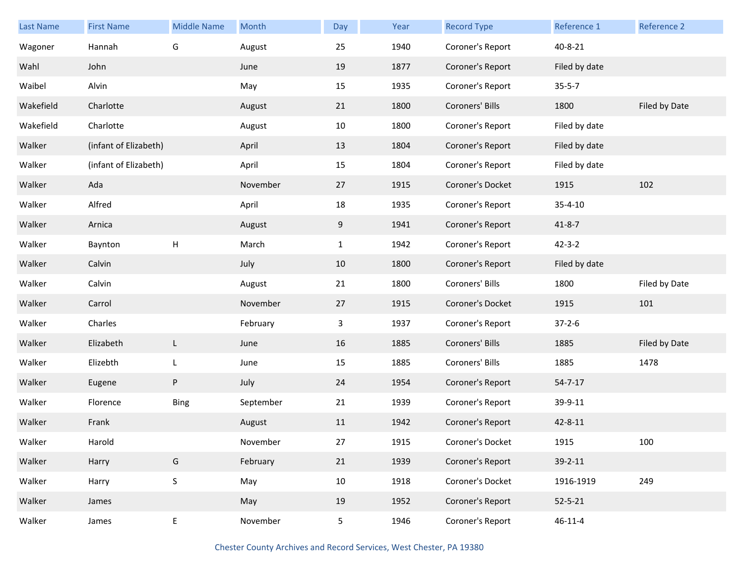| <b>Last Name</b> | <b>First Name</b>     | <b>Middle Name</b> | Month     | Day            | Year | <b>Record Type</b> | Reference 1   | Reference 2   |
|------------------|-----------------------|--------------------|-----------|----------------|------|--------------------|---------------|---------------|
| Wagoner          | Hannah                | G                  | August    | 25             | 1940 | Coroner's Report   | 40-8-21       |               |
| Wahl             | John                  |                    | June      | 19             | 1877 | Coroner's Report   | Filed by date |               |
| Waibel           | Alvin                 |                    | May       | 15             | 1935 | Coroner's Report   | $35 - 5 - 7$  |               |
| Wakefield        | Charlotte             |                    | August    | 21             | 1800 | Coroners' Bills    | 1800          | Filed by Date |
| Wakefield        | Charlotte             |                    | August    | 10             | 1800 | Coroner's Report   | Filed by date |               |
| Walker           | (infant of Elizabeth) |                    | April     | 13             | 1804 | Coroner's Report   | Filed by date |               |
| Walker           | (infant of Elizabeth) |                    | April     | 15             | 1804 | Coroner's Report   | Filed by date |               |
| Walker           | Ada                   |                    | November  | 27             | 1915 | Coroner's Docket   | 1915          | 102           |
| Walker           | Alfred                |                    | April     | 18             | 1935 | Coroner's Report   | $35 - 4 - 10$ |               |
| Walker           | Arnica                |                    | August    | 9              | 1941 | Coroner's Report   | $41 - 8 - 7$  |               |
| Walker           | Baynton               | $\mathsf{H}$       | March     | $\mathbf{1}$   | 1942 | Coroner's Report   | $42 - 3 - 2$  |               |
| Walker           | Calvin                |                    | July      | 10             | 1800 | Coroner's Report   | Filed by date |               |
| Walker           | Calvin                |                    | August    | 21             | 1800 | Coroners' Bills    | 1800          | Filed by Date |
| Walker           | Carrol                |                    | November  | 27             | 1915 | Coroner's Docket   | 1915          | 101           |
| Walker           | Charles               |                    | February  | 3              | 1937 | Coroner's Report   | $37 - 2 - 6$  |               |
| Walker           | Elizabeth             | L                  | June      | 16             | 1885 | Coroners' Bills    | 1885          | Filed by Date |
| Walker           | Elizebth              | L                  | June      | 15             | 1885 | Coroners' Bills    | 1885          | 1478          |
| Walker           | Eugene                | P                  | July      | 24             | 1954 | Coroner's Report   | $54 - 7 - 17$ |               |
| Walker           | Florence              | <b>Bing</b>        | September | 21             | 1939 | Coroner's Report   | 39-9-11       |               |
| Walker           | Frank                 |                    | August    | 11             | 1942 | Coroner's Report   | 42-8-11       |               |
| Walker           | Harold                |                    | November  | 27             | 1915 | Coroner's Docket   | 1915          | 100           |
| Walker           | Harry                 | ${\mathsf G}$      | February  | 21             | 1939 | Coroner's Report   | $39 - 2 - 11$ |               |
| Walker           | Harry                 | $\mathsf S$        | May       | 10             | 1918 | Coroner's Docket   | 1916-1919     | 249           |
| Walker           | James                 |                    | May       | 19             | 1952 | Coroner's Report   | $52 - 5 - 21$ |               |
| Walker           | James                 | E                  | November  | 5 <sub>1</sub> | 1946 | Coroner's Report   | $46 - 11 - 4$ |               |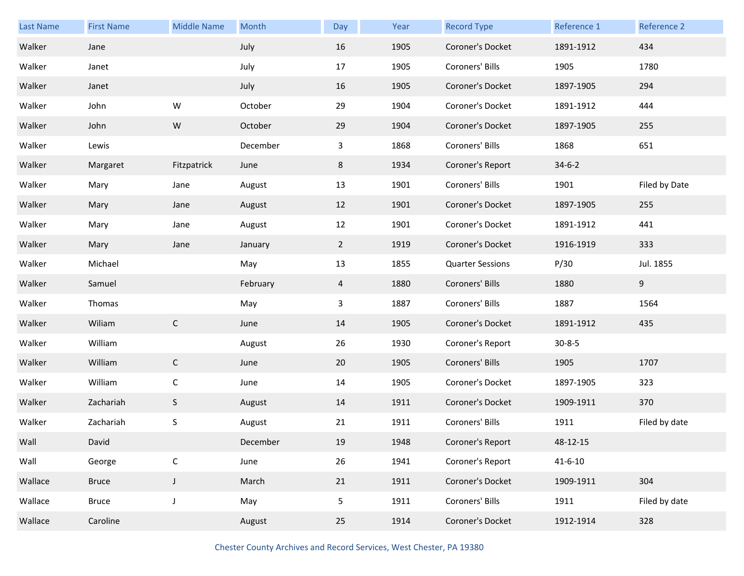| <b>Last Name</b> | <b>First Name</b> | <b>Middle Name</b> | Month    | Day            | Year | <b>Record Type</b>      | Reference 1   | Reference 2   |
|------------------|-------------------|--------------------|----------|----------------|------|-------------------------|---------------|---------------|
| Walker           | Jane              |                    | July     | 16             | 1905 | Coroner's Docket        | 1891-1912     | 434           |
| Walker           | Janet             |                    | July     | 17             | 1905 | Coroners' Bills         | 1905          | 1780          |
| Walker           | Janet             |                    | July     | 16             | 1905 | Coroner's Docket        | 1897-1905     | 294           |
| Walker           | John              | W                  | October  | 29             | 1904 | Coroner's Docket        | 1891-1912     | 444           |
| Walker           | John              | ${\sf W}$          | October  | 29             | 1904 | Coroner's Docket        | 1897-1905     | 255           |
| Walker           | Lewis             |                    | December | 3              | 1868 | Coroners' Bills         | 1868          | 651           |
| Walker           | Margaret          | Fitzpatrick        | June     | 8              | 1934 | Coroner's Report        | $34 - 6 - 2$  |               |
| Walker           | Mary              | Jane               | August   | 13             | 1901 | Coroners' Bills         | 1901          | Filed by Date |
| Walker           | Mary              | Jane               | August   | 12             | 1901 | Coroner's Docket        | 1897-1905     | 255           |
| Walker           | Mary              | Jane               | August   | 12             | 1901 | Coroner's Docket        | 1891-1912     | 441           |
| Walker           | Mary              | Jane               | January  | $\overline{2}$ | 1919 | Coroner's Docket        | 1916-1919     | 333           |
| Walker           | Michael           |                    | May      | 13             | 1855 | <b>Quarter Sessions</b> | P/30          | Jul. 1855     |
| Walker           | Samuel            |                    | February | $\overline{4}$ | 1880 | Coroners' Bills         | 1880          | 9             |
| Walker           | Thomas            |                    | May      | 3              | 1887 | Coroners' Bills         | 1887          | 1564          |
| Walker           | Wiliam            | $\mathsf{C}$       | June     | 14             | 1905 | Coroner's Docket        | 1891-1912     | 435           |
| Walker           | William           |                    | August   | 26             | 1930 | Coroner's Report        | $30 - 8 - 5$  |               |
| Walker           | William           | $\mathsf{C}$       | June     | 20             | 1905 | Coroners' Bills         | 1905          | 1707          |
| Walker           | William           | $\mathsf{C}$       | June     | 14             | 1905 | Coroner's Docket        | 1897-1905     | 323           |
| Walker           | Zachariah         | S                  | August   | 14             | 1911 | Coroner's Docket        | 1909-1911     | 370           |
| Walker           | Zachariah         | S                  | August   | 21             | 1911 | Coroners' Bills         | 1911          | Filed by date |
| Wall             | David             |                    | December | 19             | 1948 | Coroner's Report        | 48-12-15      |               |
| Wall             | George            | $\mathsf C$        | June     | 26             | 1941 | Coroner's Report        | $41 - 6 - 10$ |               |
| Wallace          | <b>Bruce</b>      | $\mathsf J$        | March    | 21             | 1911 | Coroner's Docket        | 1909-1911     | 304           |
| Wallace          | <b>Bruce</b>      | $\mathsf J$        | May      | 5              | 1911 | Coroners' Bills         | 1911          | Filed by date |
| Wallace          | Caroline          |                    | August   | 25             | 1914 | Coroner's Docket        | 1912-1914     | 328           |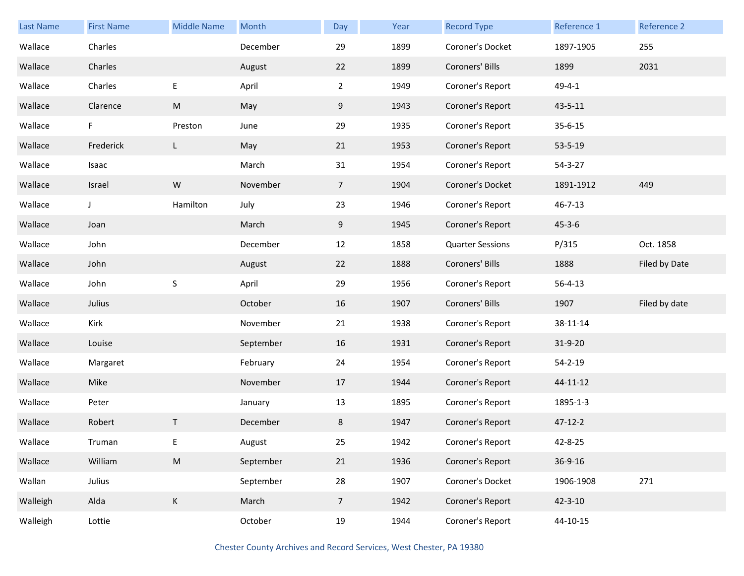| <b>Last Name</b> | <b>First Name</b> | <b>Middle Name</b> | Month     | Day             | Year | <b>Record Type</b>      | Reference 1   | Reference 2   |
|------------------|-------------------|--------------------|-----------|-----------------|------|-------------------------|---------------|---------------|
| Wallace          | Charles           |                    | December  | 29              | 1899 | Coroner's Docket        | 1897-1905     | 255           |
| Wallace          | Charles           |                    | August    | 22              | 1899 | Coroners' Bills         | 1899          | 2031          |
| Wallace          | Charles           | E                  | April     | $\overline{2}$  | 1949 | Coroner's Report        | $49 - 4 - 1$  |               |
| Wallace          | Clarence          | M                  | May       | 9               | 1943 | Coroner's Report        | 43-5-11       |               |
| Wallace          | F.                | Preston            | June      | 29              | 1935 | Coroner's Report        | $35 - 6 - 15$ |               |
| Wallace          | Frederick         | L                  | May       | 21              | 1953 | Coroner's Report        | 53-5-19       |               |
| Wallace          | Isaac             |                    | March     | 31              | 1954 | Coroner's Report        | $54 - 3 - 27$ |               |
| Wallace          | Israel            | W                  | November  | $7\overline{ }$ | 1904 | Coroner's Docket        | 1891-1912     | 449           |
| Wallace          | J                 | Hamilton           | July      | 23              | 1946 | Coroner's Report        | $46 - 7 - 13$ |               |
| Wallace          | Joan              |                    | March     | 9               | 1945 | Coroner's Report        | $45 - 3 - 6$  |               |
| Wallace          | John              |                    | December  | 12              | 1858 | <b>Quarter Sessions</b> | P/315         | Oct. 1858     |
| Wallace          | John              |                    | August    | 22              | 1888 | Coroners' Bills         | 1888          | Filed by Date |
| Wallace          | John              | $\sf S$            | April     | 29              | 1956 | Coroner's Report        | $56 - 4 - 13$ |               |
| Wallace          | Julius            |                    | October   | 16              | 1907 | Coroners' Bills         | 1907          | Filed by date |
| Wallace          | Kirk              |                    | November  | 21              | 1938 | Coroner's Report        | 38-11-14      |               |
| Wallace          | Louise            |                    | September | 16              | 1931 | Coroner's Report        | 31-9-20       |               |
| Wallace          | Margaret          |                    | February  | 24              | 1954 | Coroner's Report        | $54 - 2 - 19$ |               |
| Wallace          | Mike              |                    | November  | 17              | 1944 | Coroner's Report        | 44-11-12      |               |
| Wallace          | Peter             |                    | January   | 13              | 1895 | Coroner's Report        | 1895-1-3      |               |
| Wallace          | Robert            | $\mathsf{T}$       | December  | 8               | 1947 | Coroner's Report        | $47 - 12 - 2$ |               |
| Wallace          | Truman            | Ε                  | August    | 25              | 1942 | Coroner's Report        | 42-8-25       |               |
| Wallace          | William           | ${\sf M}$          | September | 21              | 1936 | Coroner's Report        | 36-9-16       |               |
| Wallan           | Julius            |                    | September | 28              | 1907 | Coroner's Docket        | 1906-1908     | 271           |
| Walleigh         | Alda              | $\mathsf K$        | March     | $\overline{7}$  | 1942 | Coroner's Report        | $42 - 3 - 10$ |               |
| Walleigh         | Lottie            |                    | October   | 19              | 1944 | Coroner's Report        | 44-10-15      |               |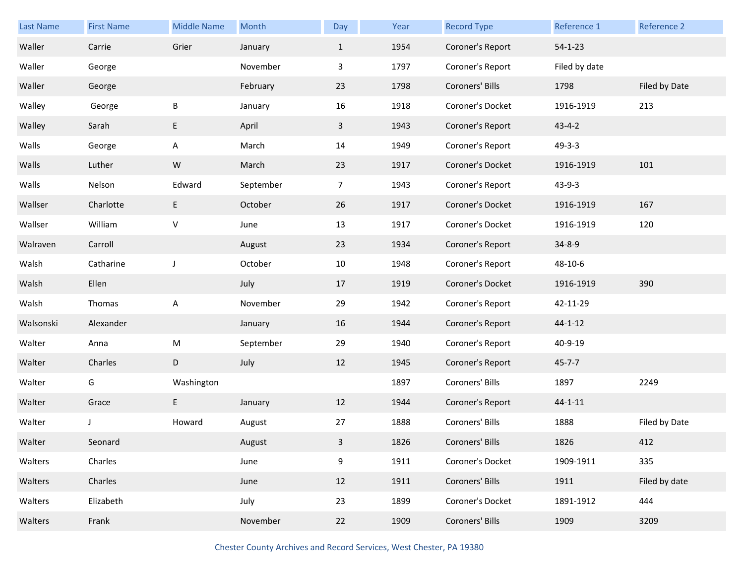| Last Name | <b>First Name</b> | <b>Middle Name</b> | Month     | Day            | Year | <b>Record Type</b> | Reference 1   | Reference 2   |
|-----------|-------------------|--------------------|-----------|----------------|------|--------------------|---------------|---------------|
| Waller    | Carrie            | Grier              | January   | $\mathbf{1}$   | 1954 | Coroner's Report   | $54 - 1 - 23$ |               |
| Waller    | George            |                    | November  | 3              | 1797 | Coroner's Report   | Filed by date |               |
| Waller    | George            |                    | February  | 23             | 1798 | Coroners' Bills    | 1798          | Filed by Date |
| Walley    | George            | B                  | January   | 16             | 1918 | Coroner's Docket   | 1916-1919     | 213           |
| Walley    | Sarah             | E                  | April     | $\mathbf{3}$   | 1943 | Coroner's Report   | $43 - 4 - 2$  |               |
| Walls     | George            | Α                  | March     | 14             | 1949 | Coroner's Report   | $49 - 3 - 3$  |               |
| Walls     | Luther            | ${\sf W}$          | March     | 23             | 1917 | Coroner's Docket   | 1916-1919     | 101           |
| Walls     | Nelson            | Edward             | September | $\overline{7}$ | 1943 | Coroner's Report   | $43 - 9 - 3$  |               |
| Wallser   | Charlotte         | E                  | October   | 26             | 1917 | Coroner's Docket   | 1916-1919     | 167           |
| Wallser   | William           | V                  | June      | 13             | 1917 | Coroner's Docket   | 1916-1919     | 120           |
| Walraven  | Carroll           |                    | August    | 23             | 1934 | Coroner's Report   | $34 - 8 - 9$  |               |
| Walsh     | Catharine         | J                  | October   | 10             | 1948 | Coroner's Report   | 48-10-6       |               |
| Walsh     | Ellen             |                    | July      | 17             | 1919 | Coroner's Docket   | 1916-1919     | 390           |
| Walsh     | Thomas            | Α                  | November  | 29             | 1942 | Coroner's Report   | 42-11-29      |               |
| Walsonski | Alexander         |                    | January   | 16             | 1944 | Coroner's Report   | $44 - 1 - 12$ |               |
| Walter    | Anna              | M                  | September | 29             | 1940 | Coroner's Report   | 40-9-19       |               |
| Walter    | Charles           | D                  | July      | 12             | 1945 | Coroner's Report   | $45 - 7 - 7$  |               |
| Walter    | G                 | Washington         |           |                | 1897 | Coroners' Bills    | 1897          | 2249          |
| Walter    | Grace             | E                  | January   | 12             | 1944 | Coroner's Report   | $44 - 1 - 11$ |               |
| Walter    | J                 | Howard             | August    | 27             | 1888 | Coroners' Bills    | 1888          | Filed by Date |
| Walter    | Seonard           |                    | August    | 3              | 1826 | Coroners' Bills    | 1826          | 412           |
| Walters   | Charles           |                    | June      | 9              | 1911 | Coroner's Docket   | 1909-1911     | 335           |
| Walters   | Charles           |                    | June      | 12             | 1911 | Coroners' Bills    | 1911          | Filed by date |
| Walters   | Elizabeth         |                    | July      | 23             | 1899 | Coroner's Docket   | 1891-1912     | 444           |
| Walters   | Frank             |                    | November  | 22             | 1909 | Coroners' Bills    | 1909          | 3209          |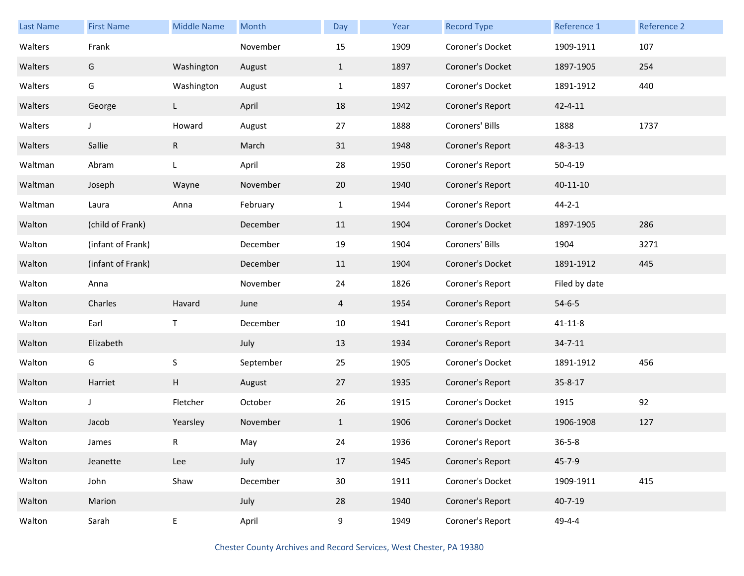| <b>Last Name</b> | <b>First Name</b> | <b>Middle Name</b> | Month     | Day          | Year | <b>Record Type</b> | Reference 1    | Reference 2 |
|------------------|-------------------|--------------------|-----------|--------------|------|--------------------|----------------|-------------|
| Walters          | Frank             |                    | November  | 15           | 1909 | Coroner's Docket   | 1909-1911      | 107         |
| Walters          | G                 | Washington         | August    | $\mathbf{1}$ | 1897 | Coroner's Docket   | 1897-1905      | 254         |
| Walters          | G                 | Washington         | August    | $\mathbf{1}$ | 1897 | Coroner's Docket   | 1891-1912      | 440         |
| Walters          | George            | L                  | April     | 18           | 1942 | Coroner's Report   | $42 - 4 - 11$  |             |
| Walters          | J                 | Howard             | August    | 27           | 1888 | Coroners' Bills    | 1888           | 1737        |
| Walters          | Sallie            | $\mathsf{R}$       | March     | 31           | 1948 | Coroner's Report   | 48-3-13        |             |
| Waltman          | Abram             | L                  | April     | 28           | 1950 | Coroner's Report   | $50 - 4 - 19$  |             |
| Waltman          | Joseph            | Wayne              | November  | 20           | 1940 | Coroner's Report   | $40 - 11 - 10$ |             |
| Waltman          | Laura             | Anna               | February  | $\mathbf{1}$ | 1944 | Coroner's Report   | $44 - 2 - 1$   |             |
| Walton           | (child of Frank)  |                    | December  | 11           | 1904 | Coroner's Docket   | 1897-1905      | 286         |
| Walton           | (infant of Frank) |                    | December  | 19           | 1904 | Coroners' Bills    | 1904           | 3271        |
| Walton           | (infant of Frank) |                    | December  | 11           | 1904 | Coroner's Docket   | 1891-1912      | 445         |
| Walton           | Anna              |                    | November  | 24           | 1826 | Coroner's Report   | Filed by date  |             |
| Walton           | Charles           | Havard             | June      | 4            | 1954 | Coroner's Report   | $54 - 6 - 5$   |             |
| Walton           | Earl              | $\mathsf{T}$       | December  | 10           | 1941 | Coroner's Report   | $41 - 11 - 8$  |             |
| Walton           | Elizabeth         |                    | July      | 13           | 1934 | Coroner's Report   | $34 - 7 - 11$  |             |
| Walton           | G                 | $\sf S$            | September | 25           | 1905 | Coroner's Docket   | 1891-1912      | 456         |
| Walton           | Harriet           | H                  | August    | 27           | 1935 | Coroner's Report   | 35-8-17        |             |
| Walton           | J                 | Fletcher           | October   | 26           | 1915 | Coroner's Docket   | 1915           | 92          |
| Walton           | Jacob             | Yearsley           | November  | $\mathbf{1}$ | 1906 | Coroner's Docket   | 1906-1908      | 127         |
| Walton           | James             | R                  | May       | 24           | 1936 | Coroner's Report   | $36 - 5 - 8$   |             |
| Walton           | Jeanette          | Lee                | July      | 17           | 1945 | Coroner's Report   | $45 - 7 - 9$   |             |
| Walton           | John              | Shaw               | December  | 30           | 1911 | Coroner's Docket   | 1909-1911      | 415         |
| Walton           | Marion            |                    | July      | 28           | 1940 | Coroner's Report   | $40 - 7 - 19$  |             |
| Walton           | Sarah             | E                  | April     | 9            | 1949 | Coroner's Report   | 49-4-4         |             |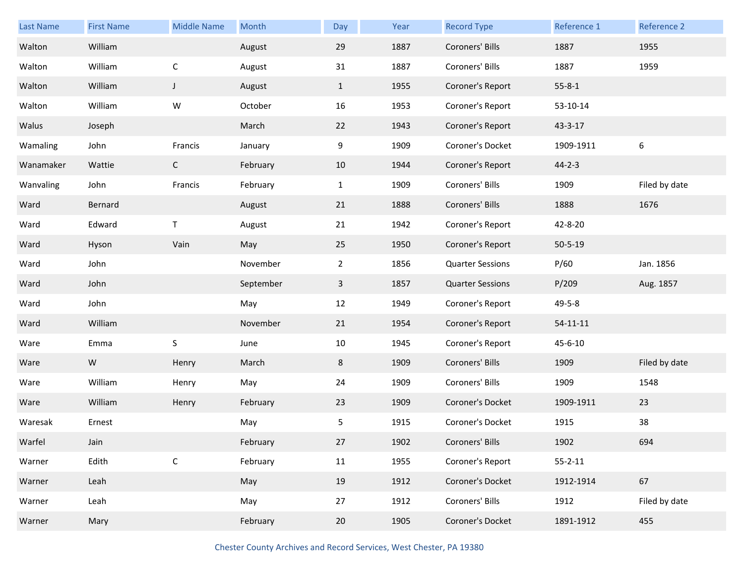| Last Name | <b>First Name</b> | <b>Middle Name</b> | Month     | Day            | Year | <b>Record Type</b>      | Reference 1    | Reference 2      |
|-----------|-------------------|--------------------|-----------|----------------|------|-------------------------|----------------|------------------|
| Walton    | William           |                    | August    | 29             | 1887 | Coroners' Bills         | 1887           | 1955             |
| Walton    | William           | $\mathsf C$        | August    | 31             | 1887 | Coroners' Bills         | 1887           | 1959             |
| Walton    | William           | $\mathsf J$        | August    | $\mathbf{1}$   | 1955 | Coroner's Report        | $55 - 8 - 1$   |                  |
| Walton    | William           | W                  | October   | 16             | 1953 | Coroner's Report        | 53-10-14       |                  |
| Walus     | Joseph            |                    | March     | 22             | 1943 | Coroner's Report        | $43 - 3 - 17$  |                  |
| Wamaling  | John              | Francis            | January   | 9              | 1909 | Coroner's Docket        | 1909-1911      | $\boldsymbol{6}$ |
| Wanamaker | Wattie            | $\mathsf C$        | February  | 10             | 1944 | Coroner's Report        | $44 - 2 - 3$   |                  |
| Wanvaling | John              | Francis            | February  | $\mathbf{1}$   | 1909 | Coroners' Bills         | 1909           | Filed by date    |
| Ward      | Bernard           |                    | August    | 21             | 1888 | Coroners' Bills         | 1888           | 1676             |
| Ward      | Edward            | T                  | August    | 21             | 1942 | Coroner's Report        | 42-8-20        |                  |
| Ward      | Hyson             | Vain               | May       | 25             | 1950 | Coroner's Report        | $50 - 5 - 19$  |                  |
| Ward      | John              |                    | November  | $\overline{2}$ | 1856 | <b>Quarter Sessions</b> | P/60           | Jan. 1856        |
| Ward      | John              |                    | September | $\mathbf{3}$   | 1857 | <b>Quarter Sessions</b> | P/209          | Aug. 1857        |
| Ward      | John              |                    | May       | 12             | 1949 | Coroner's Report        | 49-5-8         |                  |
| Ward      | William           |                    | November  | 21             | 1954 | Coroner's Report        | $54 - 11 - 11$ |                  |
| Ware      | Emma              | S                  | June      | 10             | 1945 | Coroner's Report        | $45 - 6 - 10$  |                  |
| Ware      | ${\sf W}$         | Henry              | March     | 8              | 1909 | Coroners' Bills         | 1909           | Filed by date    |
| Ware      | William           | Henry              | May       | 24             | 1909 | Coroners' Bills         | 1909           | 1548             |
| Ware      | William           | Henry              | February  | 23             | 1909 | Coroner's Docket        | 1909-1911      | 23               |
| Waresak   | Ernest            |                    | May       | 5              | 1915 | Coroner's Docket        | 1915           | 38               |
| Warfel    | Jain              |                    | February  | 27             | 1902 | Coroners' Bills         | 1902           | 694              |
| Warner    | Edith             | $\mathsf C$        | February  | $11\,$         | 1955 | Coroner's Report        | $55 - 2 - 11$  |                  |
| Warner    | Leah              |                    | May       | 19             | 1912 | Coroner's Docket        | 1912-1914      | 67               |
| Warner    | Leah              |                    | May       | 27             | 1912 | Coroners' Bills         | 1912           | Filed by date    |
| Warner    | Mary              |                    | February  | $20\,$         | 1905 | Coroner's Docket        | 1891-1912      | 455              |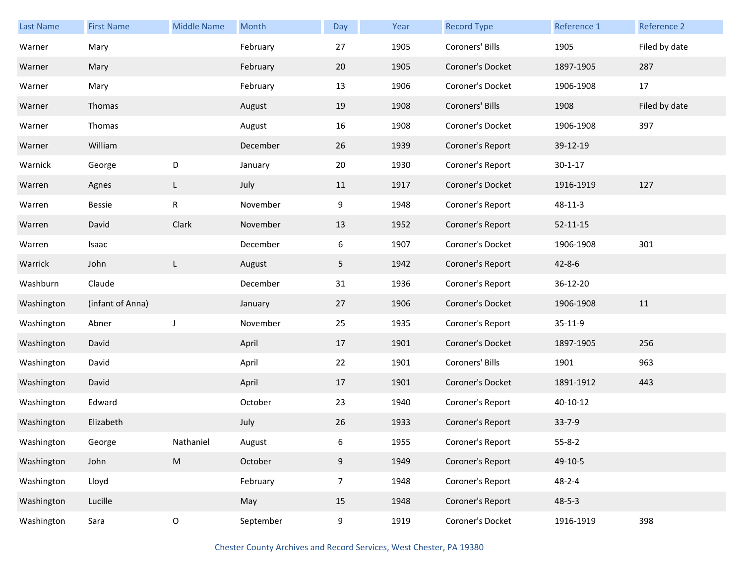| <b>Last Name</b> | <b>First Name</b> | <b>Middle Name</b> | Month     | Day            | Year | <b>Record Type</b> | Reference 1    | Reference 2   |
|------------------|-------------------|--------------------|-----------|----------------|------|--------------------|----------------|---------------|
| Warner           | Mary              |                    | February  | 27             | 1905 | Coroners' Bills    | 1905           | Filed by date |
| Warner           | Mary              |                    | February  | 20             | 1905 | Coroner's Docket   | 1897-1905      | 287           |
| Warner           | Mary              |                    | February  | 13             | 1906 | Coroner's Docket   | 1906-1908      | $17\,$        |
| Warner           | Thomas            |                    | August    | 19             | 1908 | Coroners' Bills    | 1908           | Filed by date |
| Warner           | Thomas            |                    | August    | 16             | 1908 | Coroner's Docket   | 1906-1908      | 397           |
| Warner           | William           |                    | December  | 26             | 1939 | Coroner's Report   | 39-12-19       |               |
| Warnick          | George            | D                  | January   | 20             | 1930 | Coroner's Report   | $30 - 1 - 17$  |               |
| Warren           | Agnes             | L                  | July      | 11             | 1917 | Coroner's Docket   | 1916-1919      | 127           |
| Warren           | Bessie            | ${\sf R}$          | November  | 9              | 1948 | Coroner's Report   | $48 - 11 - 3$  |               |
| Warren           | David             | Clark              | November  | 13             | 1952 | Coroner's Report   | $52 - 11 - 15$ |               |
| Warren           | Isaac             |                    | December  | 6              | 1907 | Coroner's Docket   | 1906-1908      | 301           |
| Warrick          | John              | L                  | August    | 5              | 1942 | Coroner's Report   | $42 - 8 - 6$   |               |
| Washburn         | Claude            |                    | December  | 31             | 1936 | Coroner's Report   | 36-12-20       |               |
| Washington       | (infant of Anna)  |                    | January   | 27             | 1906 | Coroner's Docket   | 1906-1908      | 11            |
| Washington       | Abner             | J                  | November  | 25             | 1935 | Coroner's Report   | 35-11-9        |               |
| Washington       | David             |                    | April     | 17             | 1901 | Coroner's Docket   | 1897-1905      | 256           |
| Washington       | David             |                    | April     | 22             | 1901 | Coroners' Bills    | 1901           | 963           |
| Washington       | David             |                    | April     | 17             | 1901 | Coroner's Docket   | 1891-1912      | 443           |
| Washington       | Edward            |                    | October   | 23             | 1940 | Coroner's Report   | 40-10-12       |               |
| Washington       | Elizabeth         |                    | July      | 26             | 1933 | Coroner's Report   | 33-7-9         |               |
| Washington       | George            | Nathaniel          | August    | 6              | 1955 | Coroner's Report   | $55 - 8 - 2$   |               |
| Washington       | John              | ${\sf M}$          | October   | 9              | 1949 | Coroner's Report   | 49-10-5        |               |
| Washington       | Lloyd             |                    | February  | $\overline{7}$ | 1948 | Coroner's Report   | $48 - 2 - 4$   |               |
| Washington       | Lucille           |                    | May       | 15             | 1948 | Coroner's Report   | $48 - 5 - 3$   |               |
| Washington       | Sara              | $\mathsf O$        | September | 9              | 1919 | Coroner's Docket   | 1916-1919      | 398           |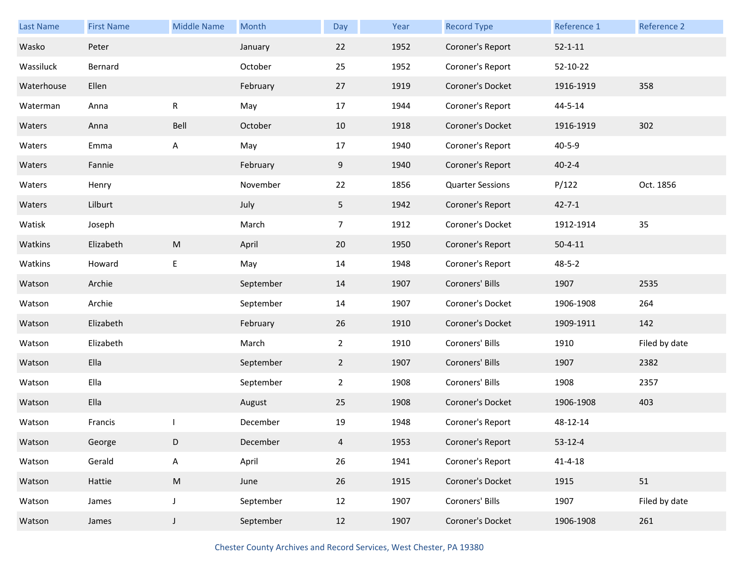| Last Name  | <b>First Name</b> | <b>Middle Name</b> | Month     | Day            | Year | <b>Record Type</b>      | Reference 1   | Reference 2   |
|------------|-------------------|--------------------|-----------|----------------|------|-------------------------|---------------|---------------|
| Wasko      | Peter             |                    | January   | 22             | 1952 | Coroner's Report        | $52 - 1 - 11$ |               |
| Wassiluck  | Bernard           |                    | October   | 25             | 1952 | Coroner's Report        | 52-10-22      |               |
| Waterhouse | Ellen             |                    | February  | 27             | 1919 | Coroner's Docket        | 1916-1919     | 358           |
| Waterman   | Anna              | R                  | May       | 17             | 1944 | Coroner's Report        | 44-5-14       |               |
| Waters     | Anna              | Bell               | October   | 10             | 1918 | Coroner's Docket        | 1916-1919     | 302           |
| Waters     | Emma              | A                  | May       | 17             | 1940 | Coroner's Report        | $40 - 5 - 9$  |               |
| Waters     | Fannie            |                    | February  | 9              | 1940 | Coroner's Report        | $40 - 2 - 4$  |               |
| Waters     | Henry             |                    | November  | 22             | 1856 | <b>Quarter Sessions</b> | P/122         | Oct. 1856     |
| Waters     | Lilburt           |                    | July      | 5              | 1942 | Coroner's Report        | $42 - 7 - 1$  |               |
| Watisk     | Joseph            |                    | March     | $\overline{7}$ | 1912 | Coroner's Docket        | 1912-1914     | 35            |
| Watkins    | Elizabeth         | ${\sf M}$          | April     | 20             | 1950 | Coroner's Report        | $50 - 4 - 11$ |               |
| Watkins    | Howard            | E                  | May       | 14             | 1948 | Coroner's Report        | $48 - 5 - 2$  |               |
| Watson     | Archie            |                    | September | 14             | 1907 | Coroners' Bills         | 1907          | 2535          |
| Watson     | Archie            |                    | September | 14             | 1907 | Coroner's Docket        | 1906-1908     | 264           |
| Watson     | Elizabeth         |                    | February  | 26             | 1910 | Coroner's Docket        | 1909-1911     | 142           |
| Watson     | Elizabeth         |                    | March     | $\mathbf{2}$   | 1910 | Coroners' Bills         | 1910          | Filed by date |
| Watson     | Ella              |                    | September | $\overline{2}$ | 1907 | Coroners' Bills         | 1907          | 2382          |
| Watson     | Ella              |                    | September | $\overline{2}$ | 1908 | Coroners' Bills         | 1908          | 2357          |
| Watson     | Ella              |                    | August    | 25             | 1908 | Coroner's Docket        | 1906-1908     | 403           |
| Watson     | Francis           |                    | December  | 19             | 1948 | Coroner's Report        | 48-12-14      |               |
| Watson     | George            | D                  | December  | 4              | 1953 | Coroner's Report        | $53 - 12 - 4$ |               |
| Watson     | Gerald            | A                  | April     | 26             | 1941 | Coroner's Report        | $41 - 4 - 18$ |               |
| Watson     | Hattie            | ${\sf M}$          | June      | 26             | 1915 | Coroner's Docket        | 1915          | 51            |
| Watson     | James             | $\mathsf J$        | September | 12             | 1907 | Coroners' Bills         | 1907          | Filed by date |
| Watson     | James             | $\mathsf J$        | September | 12             | 1907 | Coroner's Docket        | 1906-1908     | 261           |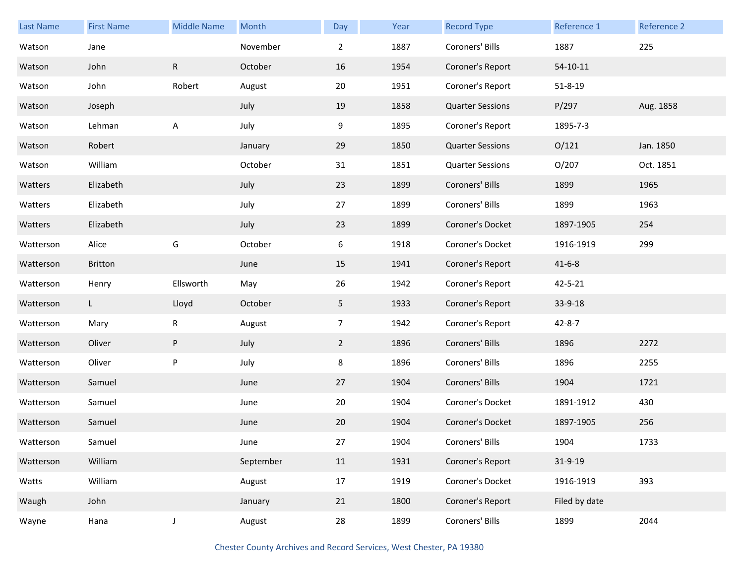| <b>Last Name</b> | <b>First Name</b> | <b>Middle Name</b> | Month     | Day            | Year | <b>Record Type</b>      | Reference 1   | Reference 2 |
|------------------|-------------------|--------------------|-----------|----------------|------|-------------------------|---------------|-------------|
| Watson           | Jane              |                    | November  | $\overline{2}$ | 1887 | Coroners' Bills         | 1887          | 225         |
| Watson           | John              | $\mathsf{R}$       | October   | 16             | 1954 | Coroner's Report        | 54-10-11      |             |
| Watson           | John              | Robert             | August    | 20             | 1951 | Coroner's Report        | $51 - 8 - 19$ |             |
| Watson           | Joseph            |                    | July      | 19             | 1858 | <b>Quarter Sessions</b> | P/297         | Aug. 1858   |
| Watson           | Lehman            | A                  | July      | 9              | 1895 | Coroner's Report        | 1895-7-3      |             |
| Watson           | Robert            |                    | January   | 29             | 1850 | <b>Quarter Sessions</b> | O/121         | Jan. 1850   |
| Watson           | William           |                    | October   | 31             | 1851 | <b>Quarter Sessions</b> | O/207         | Oct. 1851   |
| Watters          | Elizabeth         |                    | July      | 23             | 1899 | Coroners' Bills         | 1899          | 1965        |
| Watters          | Elizabeth         |                    | July      | 27             | 1899 | Coroners' Bills         | 1899          | 1963        |
| Watters          | Elizabeth         |                    | July      | 23             | 1899 | Coroner's Docket        | 1897-1905     | 254         |
| Watterson        | Alice             | G                  | October   | 6              | 1918 | Coroner's Docket        | 1916-1919     | 299         |
| Watterson        | <b>Britton</b>    |                    | June      | 15             | 1941 | Coroner's Report        | $41 - 6 - 8$  |             |
| Watterson        | Henry             | Ellsworth          | May       | 26             | 1942 | Coroner's Report        | 42-5-21       |             |
| Watterson        | L.                | Lloyd              | October   | 5              | 1933 | Coroner's Report        | 33-9-18       |             |
| Watterson        | Mary              | R                  | August    | $\overline{7}$ | 1942 | Coroner's Report        | $42 - 8 - 7$  |             |
| Watterson        | Oliver            | P                  | July      | $2^{\circ}$    | 1896 | Coroners' Bills         | 1896          | 2272        |
| Watterson        | Oliver            | P                  | July      | 8              | 1896 | Coroners' Bills         | 1896          | 2255        |
| Watterson        | Samuel            |                    | June      | 27             | 1904 | Coroners' Bills         | 1904          | 1721        |
| Watterson        | Samuel            |                    | June      | 20             | 1904 | Coroner's Docket        | 1891-1912     | 430         |
| Watterson        | Samuel            |                    | June      | 20             | 1904 | Coroner's Docket        | 1897-1905     | 256         |
| Watterson        | Samuel            |                    | June      | 27             | 1904 | Coroners' Bills         | 1904          | 1733        |
| Watterson        | William           |                    | September | 11             | 1931 | Coroner's Report        | 31-9-19       |             |
| Watts            | William           |                    | August    | 17             | 1919 | Coroner's Docket        | 1916-1919     | 393         |
| Waugh            | John              |                    | January   | 21             | 1800 | Coroner's Report        | Filed by date |             |
| Wayne            | Hana              | $\mathsf J$        | August    | 28             | 1899 | Coroners' Bills         | 1899          | 2044        |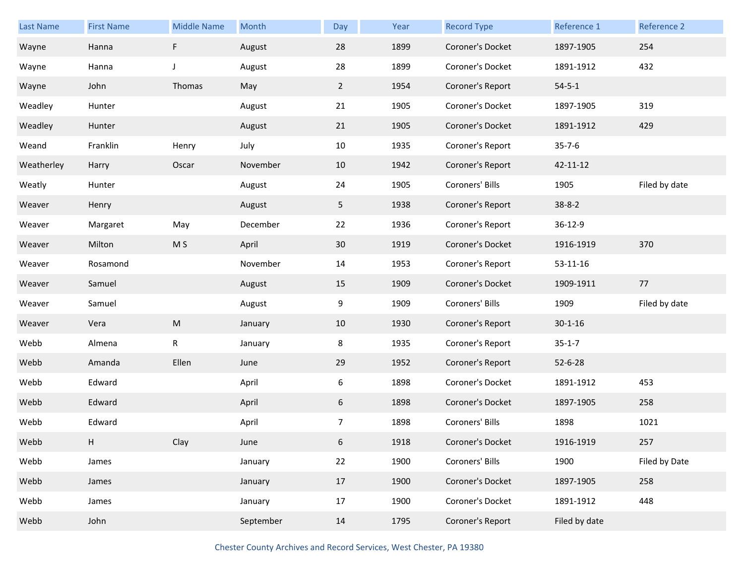| <b>Last Name</b> | <b>First Name</b> | <b>Middle Name</b> | Month    | Day            | Year | <b>Record Type</b> | Reference 1    | Reference 2   |
|------------------|-------------------|--------------------|----------|----------------|------|--------------------|----------------|---------------|
| Wayne            | Hanna             | F                  | August   | 28             | 1899 | Coroner's Docket   | 1897-1905      | 254           |
| Wayne            | Hanna             | J                  | August   | 28             | 1899 | Coroner's Docket   | 1891-1912      | 432           |
| Wayne            | John              | Thomas             | May      | $\overline{2}$ | 1954 | Coroner's Report   | $54 - 5 - 1$   |               |
| Weadley          | Hunter            |                    | August   | 21             | 1905 | Coroner's Docket   | 1897-1905      | 319           |
| Weadley          | Hunter            |                    | August   | 21             | 1905 | Coroner's Docket   | 1891-1912      | 429           |
| Weand            | Franklin          | Henry              | July     | 10             | 1935 | Coroner's Report   | $35 - 7 - 6$   |               |
| Weatherley       | Harry             | Oscar              | November | 10             | 1942 | Coroner's Report   | 42-11-12       |               |
| Weatly           | Hunter            |                    | August   | 24             | 1905 | Coroners' Bills    | 1905           | Filed by date |
| Weaver           | Henry             |                    | August   | 5 <sub>1</sub> | 1938 | Coroner's Report   | $38 - 8 - 2$   |               |
| Weaver           | Margaret          | May                | December | 22             | 1936 | Coroner's Report   | 36-12-9        |               |
| Weaver           | Milton            | M S                | April    | 30             | 1919 | Coroner's Docket   | 1916-1919      | 370           |
| Weaver           | Rosamond          |                    | November | 14             | 1953 | Coroner's Report   | $53 - 11 - 16$ |               |
|                  |                   |                    |          |                |      |                    |                |               |
| Weaver           | Samuel            |                    | August   | 15             | 1909 | Coroner's Docket   | 1909-1911      | 77            |
| Weaver           | Samuel            |                    | August   | 9              | 1909 | Coroners' Bills    | 1909           | Filed by date |
| Weaver           | Vera              | M                  | January  | 10             | 1930 | Coroner's Report   | $30 - 1 - 16$  |               |
| Webb             | Almena            | R                  | January  | 8              | 1935 | Coroner's Report   | $35 - 1 - 7$   |               |
| Webb             | Amanda            | Ellen              | June     | 29             | 1952 | Coroner's Report   | $52 - 6 - 28$  |               |
| Webb             | Edward            |                    | April    | 6              | 1898 | Coroner's Docket   | 1891-1912      | 453           |
| Webb             | Edward            |                    | April    | 6              | 1898 | Coroner's Docket   | 1897-1905      | 258           |
| Webb             | Edward            |                    | April    | $\overline{7}$ | 1898 | Coroners' Bills    | 1898           | 1021          |
| Webb             | H.                | Clay               | June     | 6              | 1918 | Coroner's Docket   | 1916-1919      | 257           |
| Webb             | James             |                    | January  | 22             | 1900 | Coroners' Bills    | 1900           | Filed by Date |
| Webb             | James             |                    | January  | 17             | 1900 | Coroner's Docket   | 1897-1905      | 258           |
| Webb             | James             |                    | January  | 17             | 1900 | Coroner's Docket   | 1891-1912      | 448           |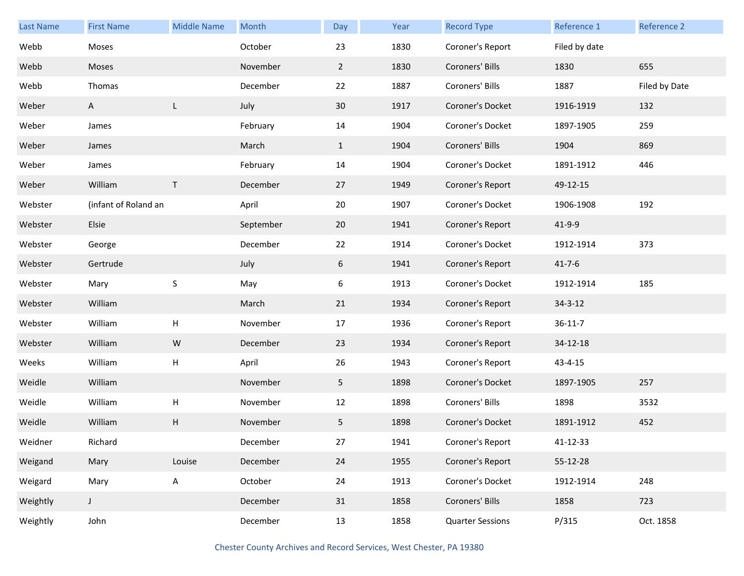| <b>Last Name</b> | <b>First Name</b>    | <b>Middle Name</b>        | Month     | Day             | Year | <b>Record Type</b>      | Reference 1   | Reference 2   |
|------------------|----------------------|---------------------------|-----------|-----------------|------|-------------------------|---------------|---------------|
| Webb             | Moses                |                           | October   | 23              | 1830 | Coroner's Report        | Filed by date |               |
| Webb             | Moses                |                           | November  | $\overline{2}$  | 1830 | Coroners' Bills         | 1830          | 655           |
| Webb             | Thomas               |                           | December  | 22              | 1887 | Coroners' Bills         | 1887          | Filed by Date |
| Weber            | A                    | L.                        | July      | 30 <sup>°</sup> | 1917 | Coroner's Docket        | 1916-1919     | 132           |
| Weber            | James                |                           | February  | 14              | 1904 | Coroner's Docket        | 1897-1905     | 259           |
| Weber            | James                |                           | March     | $\mathbf{1}$    | 1904 | Coroners' Bills         | 1904          | 869           |
| Weber            | James                |                           | February  | 14              | 1904 | Coroner's Docket        | 1891-1912     | 446           |
| Weber            | William              | $\mathsf{T}$              | December  | 27              | 1949 | Coroner's Report        | 49-12-15      |               |
| Webster          | (infant of Roland an |                           | April     | 20              | 1907 | Coroner's Docket        | 1906-1908     | 192           |
| Webster          | Elsie                |                           | September | 20              | 1941 | Coroner's Report        | 41-9-9        |               |
| Webster          | George               |                           | December  | 22              | 1914 | Coroner's Docket        | 1912-1914     | 373           |
| Webster          | Gertrude             |                           | July      | 6               | 1941 | Coroner's Report        | $41 - 7 - 6$  |               |
| Webster          | Mary                 | $\sf S$                   | May       | 6               | 1913 | Coroner's Docket        | 1912-1914     | 185           |
| Webster          | William              |                           | March     | 21              | 1934 | Coroner's Report        | $34 - 3 - 12$ |               |
| Webster          | William              | Н                         | November  | 17              | 1936 | Coroner's Report        | $36 - 11 - 7$ |               |
| Webster          | William              | W                         | December  | 23              | 1934 | Coroner's Report        | 34-12-18      |               |
| Weeks            | William              | Н                         | April     | 26              | 1943 | Coroner's Report        | 43-4-15       |               |
| Weidle           | William              |                           | November  | 5 <sub>1</sub>  | 1898 | Coroner's Docket        | 1897-1905     | 257           |
| Weidle           | William              | $\boldsymbol{\mathsf{H}}$ | November  | 12              | 1898 | Coroners' Bills         | 1898          | 3532          |
| Weidle           | William              | Н                         | November  | 5               | 1898 | Coroner's Docket        | 1891-1912     | 452           |
| Weidner          | Richard              |                           | December  | 27              | 1941 | Coroner's Report        | 41-12-33      |               |
| Weigand          | Mary                 | Louise                    | December  | 24              | 1955 | Coroner's Report        | 55-12-28      |               |
| Weigard          | Mary                 | A                         | October   | 24              | 1913 | Coroner's Docket        | 1912-1914     | 248           |
| Weightly         | J                    |                           | December  | 31              | 1858 | Coroners' Bills         | 1858          | 723           |
| Weightly         | John                 |                           | December  | 13              | 1858 | <b>Quarter Sessions</b> | P/315         | Oct. 1858     |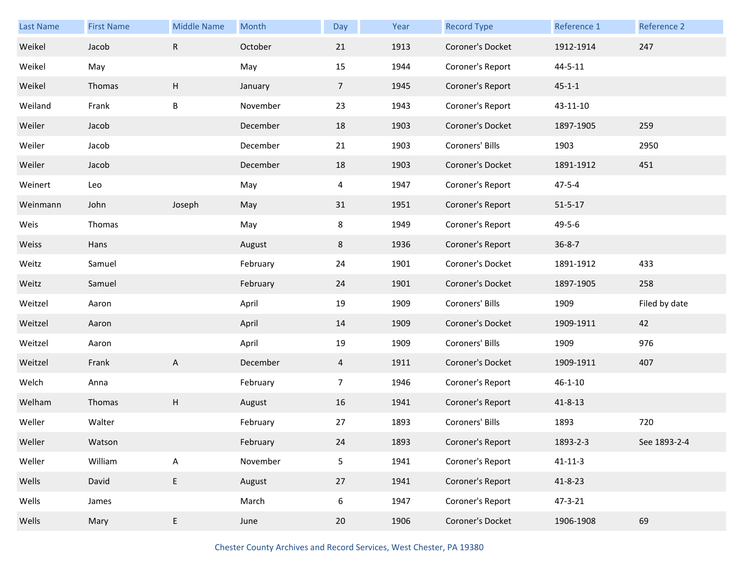| <b>Last Name</b> | <b>First Name</b> | <b>Middle Name</b>        | Month    | Day             | Year | <b>Record Type</b> | Reference 1   | Reference 2   |
|------------------|-------------------|---------------------------|----------|-----------------|------|--------------------|---------------|---------------|
| Weikel           | Jacob             | $\mathsf R$               | October  | 21              | 1913 | Coroner's Docket   | 1912-1914     | 247           |
| Weikel           | May               |                           | May      | 15              | 1944 | Coroner's Report   | $44 - 5 - 11$ |               |
| Weikel           | Thomas            | H                         | January  | $7\overline{ }$ | 1945 | Coroner's Report   | $45 - 1 - 1$  |               |
| Weiland          | Frank             | B                         | November | 23              | 1943 | Coroner's Report   | 43-11-10      |               |
| Weiler           | Jacob             |                           | December | 18              | 1903 | Coroner's Docket   | 1897-1905     | 259           |
| Weiler           | Jacob             |                           | December | 21              | 1903 | Coroners' Bills    | 1903          | 2950          |
| Weiler           | Jacob             |                           | December | 18              | 1903 | Coroner's Docket   | 1891-1912     | 451           |
| Weinert          | Leo               |                           | May      | 4               | 1947 | Coroner's Report   | $47 - 5 - 4$  |               |
| Weinmann         | John              | Joseph                    | May      | 31              | 1951 | Coroner's Report   | $51 - 5 - 17$ |               |
| Weis             | Thomas            |                           | May      | 8               | 1949 | Coroner's Report   | $49 - 5 - 6$  |               |
| Weiss            | Hans              |                           | August   | 8               | 1936 | Coroner's Report   | $36 - 8 - 7$  |               |
| Weitz            | Samuel            |                           | February | 24              | 1901 | Coroner's Docket   | 1891-1912     | 433           |
| Weitz            | Samuel            |                           | February | 24              | 1901 | Coroner's Docket   | 1897-1905     | 258           |
| Weitzel          | Aaron             |                           | April    | 19              | 1909 | Coroners' Bills    | 1909          | Filed by date |
| Weitzel          | Aaron             |                           | April    | 14              | 1909 | Coroner's Docket   | 1909-1911     | 42            |
| Weitzel          | Aaron             |                           | April    | 19              | 1909 | Coroners' Bills    | 1909          | 976           |
| Weitzel          | Frank             | $\mathsf{A}$              | December | $\overline{4}$  | 1911 | Coroner's Docket   | 1909-1911     | 407           |
| Welch            | Anna              |                           | February | $\overline{7}$  | 1946 | Coroner's Report   | $46 - 1 - 10$ |               |
| Welham           | Thomas            | H                         | August   | 16              | 1941 | Coroner's Report   | $41 - 8 - 13$ |               |
| Weller           | Walter            |                           | February | 27              | 1893 | Coroners' Bills    | 1893          | 720           |
| Weller           | Watson            |                           | February | 24              | 1893 | Coroner's Report   | 1893-2-3      | See 1893-2-4  |
| Weller           | William           | $\boldsymbol{\mathsf{A}}$ | November | 5               | 1941 | Coroner's Report   | $41 - 11 - 3$ |               |
| Wells            | David             | $\sf E$                   | August   | 27              | 1941 | Coroner's Report   | 41-8-23       |               |
| Wells            | James             |                           | March    | 6               | 1947 | Coroner's Report   | 47-3-21       |               |
| Wells            | Mary              | E                         | June     | $20\,$          | 1906 | Coroner's Docket   | 1906-1908     | 69            |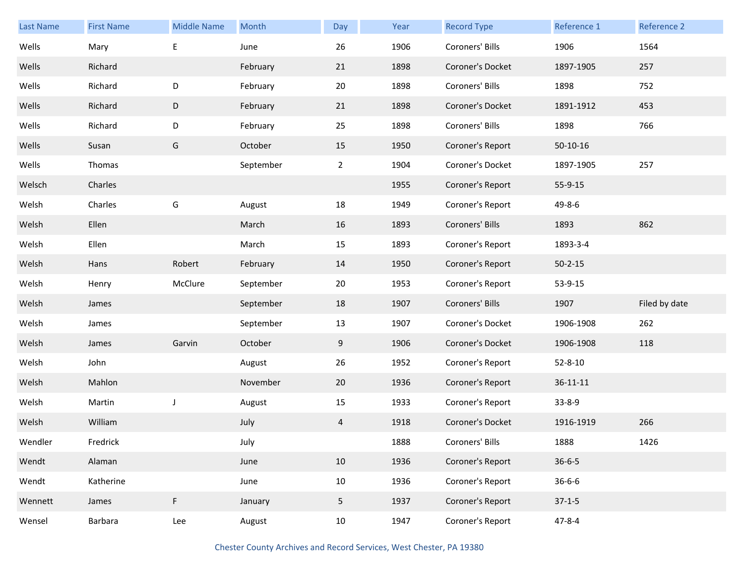| <b>Last Name</b> | <b>First Name</b> | <b>Middle Name</b> | Month     | Day            | Year | <b>Record Type</b> | Reference 1    | Reference 2   |
|------------------|-------------------|--------------------|-----------|----------------|------|--------------------|----------------|---------------|
| Wells            | Mary              | Е                  | June      | 26             | 1906 | Coroners' Bills    | 1906           | 1564          |
| Wells            | Richard           |                    | February  | 21             | 1898 | Coroner's Docket   | 1897-1905      | 257           |
| Wells            | Richard           | D                  | February  | 20             | 1898 | Coroners' Bills    | 1898           | 752           |
| Wells            | Richard           | D                  | February  | 21             | 1898 | Coroner's Docket   | 1891-1912      | 453           |
| Wells            | Richard           | D                  | February  | 25             | 1898 | Coroners' Bills    | 1898           | 766           |
| Wells            | Susan             | G                  | October   | 15             | 1950 | Coroner's Report   | 50-10-16       |               |
| Wells            | Thomas            |                    | September | $\overline{2}$ | 1904 | Coroner's Docket   | 1897-1905      | 257           |
| Welsch           | Charles           |                    |           |                | 1955 | Coroner's Report   | 55-9-15        |               |
| Welsh            | Charles           | G                  | August    | 18             | 1949 | Coroner's Report   | 49-8-6         |               |
| Welsh            | Ellen             |                    | March     | 16             | 1893 | Coroners' Bills    | 1893           | 862           |
| Welsh            | Ellen             |                    | March     | 15             | 1893 | Coroner's Report   | 1893-3-4       |               |
| Welsh            | Hans              | Robert             | February  | 14             | 1950 | Coroner's Report   | $50 - 2 - 15$  |               |
| Welsh            | Henry             | McClure            | September | 20             | 1953 | Coroner's Report   | 53-9-15        |               |
| Welsh            | James             |                    | September | 18             | 1907 | Coroners' Bills    | 1907           | Filed by date |
| Welsh            | James             |                    | September | 13             | 1907 | Coroner's Docket   | 1906-1908      | 262           |
| Welsh            | James             | Garvin             | October   | 9              | 1906 | Coroner's Docket   | 1906-1908      | 118           |
| Welsh            | John              |                    | August    | 26             | 1952 | Coroner's Report   | $52 - 8 - 10$  |               |
| Welsh            | Mahlon            |                    | November  | 20             | 1936 | Coroner's Report   | $36 - 11 - 11$ |               |
| Welsh            | Martin            | $\mathsf J$        | August    | 15             | 1933 | Coroner's Report   | $33 - 8 - 9$   |               |
| Welsh            | William           |                    | July      | 4              | 1918 | Coroner's Docket   | 1916-1919      | 266           |
| Wendler          | Fredrick          |                    | July      |                | 1888 | Coroners' Bills    | 1888           | 1426          |
| Wendt            | Alaman            |                    | June      | 10             | 1936 | Coroner's Report   | $36 - 6 - 5$   |               |
| Wendt            | Katherine         |                    | June      | 10             | 1936 | Coroner's Report   | $36 - 6 - 6$   |               |
|                  |                   |                    |           |                |      |                    |                |               |
| Wennett          | James             | F                  | January   | 5              | 1937 | Coroner's Report   | $37-1-5$       |               |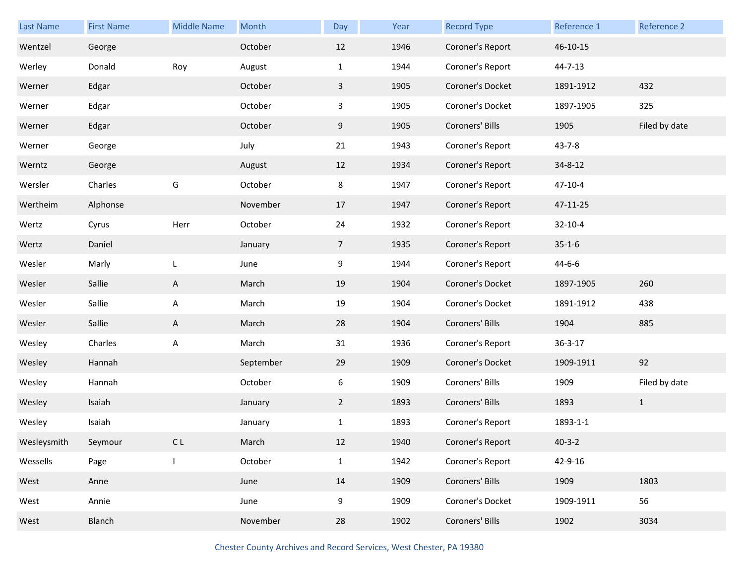| <b>Last Name</b> | <b>First Name</b> | <b>Middle Name</b> | Month     | Day             | Year | <b>Record Type</b> | Reference 1   | Reference 2   |
|------------------|-------------------|--------------------|-----------|-----------------|------|--------------------|---------------|---------------|
| Wentzel          | George            |                    | October   | 12              | 1946 | Coroner's Report   | 46-10-15      |               |
| Werley           | Donald            | Roy                | August    | $\mathbf{1}$    | 1944 | Coroner's Report   | $44 - 7 - 13$ |               |
| Werner           | Edgar             |                    | October   | $\mathbf{3}$    | 1905 | Coroner's Docket   | 1891-1912     | 432           |
| Werner           | Edgar             |                    | October   | 3               | 1905 | Coroner's Docket   | 1897-1905     | 325           |
| Werner           | Edgar             |                    | October   | 9               | 1905 | Coroners' Bills    | 1905          | Filed by date |
| Werner           | George            |                    | July      | 21              | 1943 | Coroner's Report   | $43 - 7 - 8$  |               |
| Werntz           | George            |                    | August    | 12              | 1934 | Coroner's Report   | $34 - 8 - 12$ |               |
| Wersler          | Charles           | G                  | October   | 8               | 1947 | Coroner's Report   | $47 - 10 - 4$ |               |
| Wertheim         | Alphonse          |                    | November  | 17              | 1947 | Coroner's Report   | 47-11-25      |               |
| Wertz            | Cyrus             | Herr               | October   | 24              | 1932 | Coroner's Report   | $32 - 10 - 4$ |               |
| Wertz            | Daniel            |                    | January   | $7\overline{ }$ | 1935 | Coroner's Report   | $35 - 1 - 6$  |               |
| Wesler           | Marly             | L                  | June      | 9               | 1944 | Coroner's Report   | $44 - 6 - 6$  |               |
| Wesler           | Sallie            | A                  | March     | 19              | 1904 | Coroner's Docket   | 1897-1905     | 260           |
| Wesler           | Sallie            | Α                  | March     | 19              | 1904 | Coroner's Docket   | 1891-1912     | 438           |
| Wesler           | Sallie            | A                  | March     | 28              | 1904 | Coroners' Bills    | 1904          | 885           |
| Wesley           | Charles           | Α                  | March     | 31              | 1936 | Coroner's Report   | $36 - 3 - 17$ |               |
| Wesley           | Hannah            |                    | September | 29              | 1909 | Coroner's Docket   | 1909-1911     | 92            |
| Wesley           | Hannah            |                    | October   | 6               | 1909 | Coroners' Bills    | 1909          | Filed by date |
| Wesley           | Isaiah            |                    | January   | $\overline{2}$  | 1893 | Coroners' Bills    | 1893          | $\mathbf{1}$  |
| Wesley           | Isaiah            |                    | January   | $\mathbf{1}$    | 1893 | Coroner's Report   | 1893-1-1      |               |
| Wesleysmith      | Seymour           | CL                 | March     | 12              | 1940 | Coroner's Report   | $40 - 3 - 2$  |               |
| Wessells         | Page              |                    | October   | $\mathbf{1}$    | 1942 | Coroner's Report   | 42-9-16       |               |
| West             | Anne              |                    | June      | 14              | 1909 | Coroners' Bills    | 1909          | 1803          |
| West             | Annie             |                    | June      | 9               | 1909 | Coroner's Docket   | 1909-1911     | 56            |
| West             | Blanch            |                    | November  | 28              | 1902 | Coroners' Bills    | 1902          | 3034          |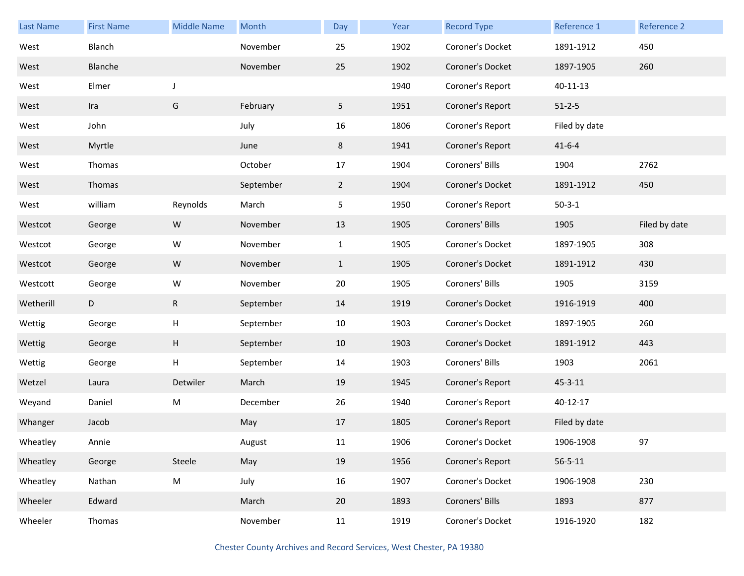| <b>Last Name</b> | <b>First Name</b> | <b>Middle Name</b> | Month     | Day            | Year | <b>Record Type</b> | Reference 1   | Reference 2   |
|------------------|-------------------|--------------------|-----------|----------------|------|--------------------|---------------|---------------|
| West             | Blanch            |                    | November  | 25             | 1902 | Coroner's Docket   | 1891-1912     | 450           |
| West             | Blanche           |                    | November  | 25             | 1902 | Coroner's Docket   | 1897-1905     | 260           |
| West             | Elmer             | J                  |           |                | 1940 | Coroner's Report   | 40-11-13      |               |
| West             | Ira               | G                  | February  | 5              | 1951 | Coroner's Report   | $51 - 2 - 5$  |               |
| West             | John              |                    | July      | 16             | 1806 | Coroner's Report   | Filed by date |               |
| West             | Myrtle            |                    | June      | 8              | 1941 | Coroner's Report   | $41 - 6 - 4$  |               |
| West             | Thomas            |                    | October   | 17             | 1904 | Coroners' Bills    | 1904          | 2762          |
| West             | Thomas            |                    | September | $\overline{2}$ | 1904 | Coroner's Docket   | 1891-1912     | 450           |
| West             | william           | Reynolds           | March     | 5              | 1950 | Coroner's Report   | $50-3-1$      |               |
| Westcot          | George            | W                  | November  | 13             | 1905 | Coroners' Bills    | 1905          | Filed by date |
| Westcot          | George            | W                  | November  | $\mathbf{1}$   | 1905 | Coroner's Docket   | 1897-1905     | 308           |
| Westcot          | George            | W                  | November  | $\mathbf{1}$   | 1905 | Coroner's Docket   | 1891-1912     | 430           |
| Westcott         | George            | W                  | November  | 20             | 1905 | Coroners' Bills    | 1905          | 3159          |
| Wetherill        | D                 | $\mathsf R$        | September | 14             | 1919 | Coroner's Docket   | 1916-1919     | 400           |
| Wettig           | George            | H                  | September | 10             | 1903 | Coroner's Docket   | 1897-1905     | 260           |
| Wettig           | George            | Н                  | September | 10             | 1903 | Coroner's Docket   | 1891-1912     | 443           |
| Wettig           | George            | Н                  | September | 14             | 1903 | Coroners' Bills    | 1903          | 2061          |
| Wetzel           | Laura             | Detwiler           | March     | 19             | 1945 | Coroner's Report   | $45 - 3 - 11$ |               |
| Weyand           | Daniel            | ${\sf M}$          | December  | 26             | 1940 | Coroner's Report   | 40-12-17      |               |
| Whanger          | Jacob             |                    | May       | 17             | 1805 | Coroner's Report   | Filed by date |               |
| Wheatley         | Annie             |                    | August    | 11             | 1906 | Coroner's Docket   | 1906-1908     | 97            |
| Wheatley         | George            | Steele             | May       | 19             | 1956 | Coroner's Report   | $56 - 5 - 11$ |               |
| Wheatley         | Nathan            | ${\sf M}$          | July      | 16             | 1907 | Coroner's Docket   | 1906-1908     | 230           |
| Wheeler          | Edward            |                    | March     | 20             | 1893 | Coroners' Bills    | 1893          | 877           |
| Wheeler          | Thomas            |                    | November  | 11             | 1919 | Coroner's Docket   | 1916-1920     | 182           |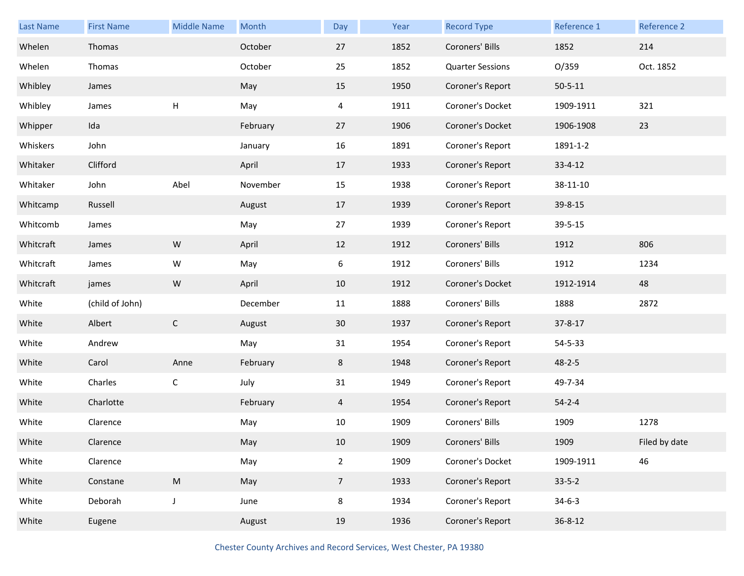| <b>Last Name</b> | <b>First Name</b> | <b>Middle Name</b> | Month    | Day            | Year | <b>Record Type</b>      | Reference 1   | Reference 2   |
|------------------|-------------------|--------------------|----------|----------------|------|-------------------------|---------------|---------------|
| Whelen           | Thomas            |                    | October  | 27             | 1852 | Coroners' Bills         | 1852          | 214           |
| Whelen           | Thomas            |                    | October  | 25             | 1852 | <b>Quarter Sessions</b> | O/359         | Oct. 1852     |
| Whibley          | James             |                    | May      | 15             | 1950 | Coroner's Report        | $50 - 5 - 11$ |               |
| Whibley          | James             | H                  | May      | 4              | 1911 | Coroner's Docket        | 1909-1911     | 321           |
| Whipper          | Ida               |                    | February | 27             | 1906 | Coroner's Docket        | 1906-1908     | 23            |
| Whiskers         | John              |                    | January  | 16             | 1891 | Coroner's Report        | 1891-1-2      |               |
| Whitaker         | Clifford          |                    | April    | 17             | 1933 | Coroner's Report        | $33 - 4 - 12$ |               |
| Whitaker         | John              | Abel               | November | 15             | 1938 | Coroner's Report        | 38-11-10      |               |
| Whitcamp         | Russell           |                    | August   | 17             | 1939 | Coroner's Report        | 39-8-15       |               |
| Whitcomb         | James             |                    | May      | 27             | 1939 | Coroner's Report        | 39-5-15       |               |
| Whitcraft        | James             | ${\sf W}$          | April    | 12             | 1912 | Coroners' Bills         | 1912          | 806           |
| Whitcraft        | James             | W                  | May      | 6              | 1912 | Coroners' Bills         | 1912          | 1234          |
| Whitcraft        | james             | ${\sf W}$          | April    | 10             | 1912 | Coroner's Docket        | 1912-1914     | 48            |
| White            | (child of John)   |                    | December | 11             | 1888 | Coroners' Bills         | 1888          | 2872          |
| White            | Albert            | $\mathsf{C}$       | August   | 30             | 1937 | Coroner's Report        | 37-8-17       |               |
| White            | Andrew            |                    | May      | 31             | 1954 | Coroner's Report        | 54-5-33       |               |
| White            | Carol             | Anne               | February | 8              | 1948 | Coroner's Report        | $48 - 2 - 5$  |               |
| White            | Charles           | $\mathsf C$        | July     | 31             | 1949 | Coroner's Report        | 49-7-34       |               |
| White            | Charlotte         |                    | February | $\overline{4}$ | 1954 | Coroner's Report        | $54 - 2 - 4$  |               |
| White            | Clarence          |                    | May      | 10             | 1909 | Coroners' Bills         | 1909          | 1278          |
| White            | Clarence          |                    | May      | 10             | 1909 | Coroners' Bills         | 1909          | Filed by date |
| White            | Clarence          |                    | May      | $\overline{2}$ | 1909 | Coroner's Docket        | 1909-1911     | 46            |
| White            | Constane          | ${\sf M}$          | May      | $\overline{7}$ | 1933 | Coroner's Report        | $33 - 5 - 2$  |               |
| White            | Deborah           | $\mathsf J$        | June     | 8              | 1934 | Coroner's Report        | $34-6-3$      |               |
| White            | Eugene            |                    | August   | 19             | 1936 | Coroner's Report        | $36 - 8 - 12$ |               |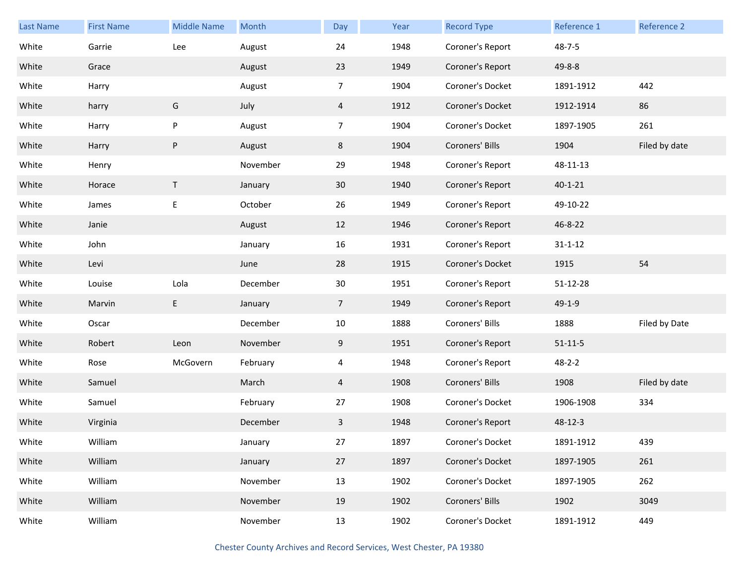| Last Name | <b>First Name</b> | <b>Middle Name</b>        | Month    | Day            | Year | <b>Record Type</b> | Reference 1   | Reference 2   |
|-----------|-------------------|---------------------------|----------|----------------|------|--------------------|---------------|---------------|
| White     | Garrie            | Lee                       | August   | 24             | 1948 | Coroner's Report   | $48 - 7 - 5$  |               |
| White     | Grace             |                           | August   | 23             | 1949 | Coroner's Report   | $49 - 8 - 8$  |               |
| White     | Harry             |                           | August   | $\overline{7}$ | 1904 | Coroner's Docket   | 1891-1912     | 442           |
| White     | harry             | G                         | July     | 4              | 1912 | Coroner's Docket   | 1912-1914     | 86            |
| White     | Harry             | $\boldsymbol{\mathsf{P}}$ | August   | $\overline{7}$ | 1904 | Coroner's Docket   | 1897-1905     | 261           |
| White     | Harry             | $\sf P$                   | August   | 8              | 1904 | Coroners' Bills    | 1904          | Filed by date |
| White     | Henry             |                           | November | 29             | 1948 | Coroner's Report   | 48-11-13      |               |
| White     | Horace            | T.                        | January  | 30             | 1940 | Coroner's Report   | $40 - 1 - 21$ |               |
| White     | James             | $\mathsf E$               | October  | 26             | 1949 | Coroner's Report   | 49-10-22      |               |
| White     | Janie             |                           | August   | 12             | 1946 | Coroner's Report   | 46-8-22       |               |
| White     | John              |                           | January  | 16             | 1931 | Coroner's Report   | $31 - 1 - 12$ |               |
| White     | Levi              |                           | June     | 28             | 1915 | Coroner's Docket   | 1915          | 54            |
| White     | Louise            | Lola                      | December | $30\,$         | 1951 | Coroner's Report   | 51-12-28      |               |
| White     | Marvin            | $\mathsf E$               | January  | $\overline{7}$ | 1949 | Coroner's Report   | 49-1-9        |               |
| White     | Oscar             |                           | December | $10\,$         | 1888 | Coroners' Bills    | 1888          | Filed by Date |
| White     | Robert            | Leon                      | November | 9              | 1951 | Coroner's Report   | $51 - 11 - 5$ |               |
| White     | Rose              | McGovern                  | February | 4              | 1948 | Coroner's Report   | $48 - 2 - 2$  |               |
| White     | Samuel            |                           | March    | 4              | 1908 | Coroners' Bills    | 1908          | Filed by date |
| White     | Samuel            |                           | February | 27             | 1908 | Coroner's Docket   | 1906-1908     | 334           |
| White     | Virginia          |                           | December | 3              | 1948 | Coroner's Report   | 48-12-3       |               |
| White     | William           |                           | January  | 27             | 1897 | Coroner's Docket   | 1891-1912     | 439           |
| White     | William           |                           | January  | 27             | 1897 | Coroner's Docket   | 1897-1905     | 261           |
| White     | William           |                           | November | 13             | 1902 | Coroner's Docket   | 1897-1905     | 262           |
| White     | William           |                           | November | 19             | 1902 | Coroners' Bills    | 1902          | 3049          |
| White     | William           |                           | November | 13             | 1902 | Coroner's Docket   | 1891-1912     | 449           |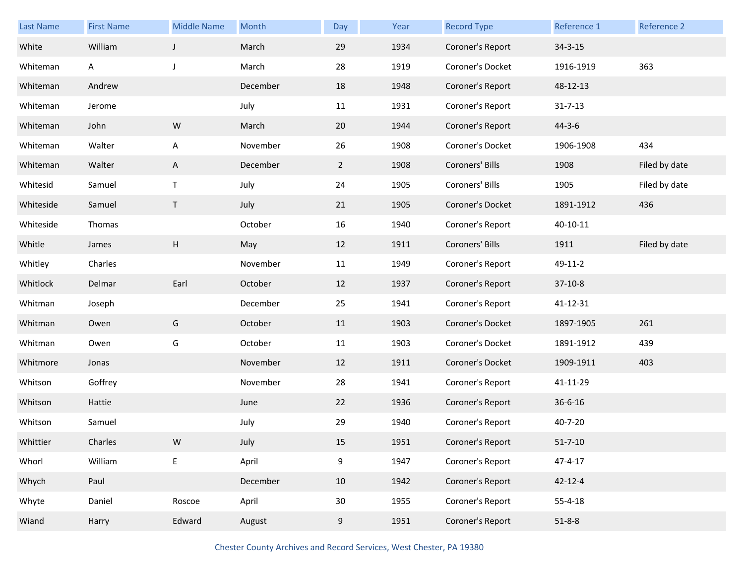| <b>Last Name</b> | <b>First Name</b> | <b>Middle Name</b> | Month    | Day         | Year | <b>Record Type</b> | Reference 1   | Reference 2   |
|------------------|-------------------|--------------------|----------|-------------|------|--------------------|---------------|---------------|
| White            | William           | $\mathsf{J}$       | March    | 29          | 1934 | Coroner's Report   | $34 - 3 - 15$ |               |
| Whiteman         | A                 | J                  | March    | 28          | 1919 | Coroner's Docket   | 1916-1919     | 363           |
| Whiteman         | Andrew            |                    | December | 18          | 1948 | Coroner's Report   | 48-12-13      |               |
| Whiteman         | Jerome            |                    | July     | 11          | 1931 | Coroner's Report   | $31 - 7 - 13$ |               |
| Whiteman         | John              | ${\sf W}$          | March    | 20          | 1944 | Coroner's Report   | $44 - 3 - 6$  |               |
| Whiteman         | Walter            | A                  | November | 26          | 1908 | Coroner's Docket   | 1906-1908     | 434           |
| Whiteman         | Walter            | A                  | December | $2^{\circ}$ | 1908 | Coroners' Bills    | 1908          | Filed by date |
| Whitesid         | Samuel            | Τ                  | July     | 24          | 1905 | Coroners' Bills    | 1905          | Filed by date |
| Whiteside        | Samuel            | $\mathsf T$        | July     | 21          | 1905 | Coroner's Docket   | 1891-1912     | 436           |
| Whiteside        | Thomas            |                    | October  | 16          | 1940 | Coroner's Report   | 40-10-11      |               |
| Whitle           | James             | H                  | May      | 12          | 1911 | Coroners' Bills    | 1911          | Filed by date |
| Whitley          | Charles           |                    | November | 11          | 1949 | Coroner's Report   | 49-11-2       |               |
| Whitlock         | Delmar            | Earl               | October  | 12          | 1937 | Coroner's Report   | $37-10-8$     |               |
| Whitman          | Joseph            |                    | December | 25          | 1941 | Coroner's Report   | 41-12-31      |               |
| Whitman          | Owen              | G                  | October  | 11          | 1903 | Coroner's Docket   | 1897-1905     | 261           |
| Whitman          | Owen              | G                  | October  | 11          | 1903 | Coroner's Docket   | 1891-1912     | 439           |
| Whitmore         | Jonas             |                    | November | 12          | 1911 | Coroner's Docket   | 1909-1911     | 403           |
| Whitson          | Goffrey           |                    | November | 28          | 1941 | Coroner's Report   | 41-11-29      |               |
| Whitson          | Hattie            |                    | June     | 22          | 1936 | Coroner's Report   | $36 - 6 - 16$ |               |
| Whitson          | Samuel            |                    | July     | 29          | 1940 | Coroner's Report   | 40-7-20       |               |
| Whittier         | Charles           | W                  | July     | 15          | 1951 | Coroner's Report   | $51 - 7 - 10$ |               |
| Whorl            | William           | E                  | April    | 9           | 1947 | Coroner's Report   | $47 - 4 - 17$ |               |
| Whych            | Paul              |                    | December | 10          | 1942 | Coroner's Report   | $42 - 12 - 4$ |               |
| Whyte            | Daniel            | Roscoe             | April    | 30          | 1955 | Coroner's Report   | $55 - 4 - 18$ |               |
| Wiand            | Harry             | Edward             | August   | 9           | 1951 | Coroner's Report   | $51 - 8 - 8$  |               |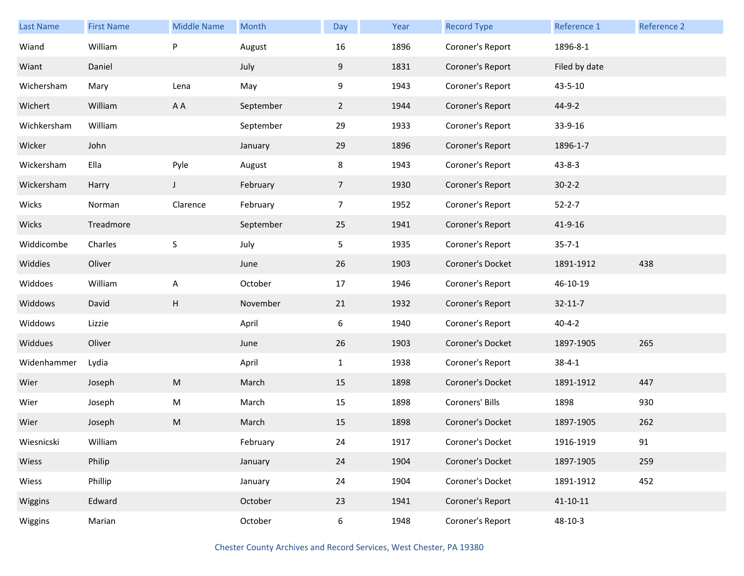| <b>Last Name</b> | <b>First Name</b> | <b>Middle Name</b> | <b>Month</b> | Day            | Year | <b>Record Type</b> | Reference 1    | Reference 2 |
|------------------|-------------------|--------------------|--------------|----------------|------|--------------------|----------------|-------------|
| Wiand            | William           | P                  | August       | 16             | 1896 | Coroner's Report   | 1896-8-1       |             |
| Wiant            | Daniel            |                    | July         | 9              | 1831 | Coroner's Report   | Filed by date  |             |
| Wichersham       | Mary              | Lena               | May          | 9              | 1943 | Coroner's Report   | 43-5-10        |             |
| Wichert          | William           | A A                | September    | $\mathbf{2}$   | 1944 | Coroner's Report   | 44-9-2         |             |
| Wichkersham      | William           |                    | September    | 29             | 1933 | Coroner's Report   | 33-9-16        |             |
| Wicker           | John              |                    | January      | 29             | 1896 | Coroner's Report   | 1896-1-7       |             |
| Wickersham       | Ella              | Pyle               | August       | 8              | 1943 | Coroner's Report   | $43 - 8 - 3$   |             |
| Wickersham       | Harry             | J                  | February     | 7 <sup>1</sup> | 1930 | Coroner's Report   | $30 - 2 - 2$   |             |
| Wicks            | Norman            | Clarence           | February     | $\overline{7}$ | 1952 | Coroner's Report   | $52 - 2 - 7$   |             |
| Wicks            | Treadmore         |                    | September    | 25             | 1941 | Coroner's Report   | 41-9-16        |             |
| Widdicombe       | Charles           | $\mathsf S$        | July         | 5              | 1935 | Coroner's Report   | $35 - 7 - 1$   |             |
| Widdies          | Oliver            |                    | June         | 26             | 1903 | Coroner's Docket   | 1891-1912      | 438         |
| Widdoes          | William           | A                  | October      | 17             | 1946 | Coroner's Report   | 46-10-19       |             |
| Widdows          | David             | H                  | November     | 21             | 1932 | Coroner's Report   | $32 - 11 - 7$  |             |
| Widdows          | Lizzie            |                    | April        | 6              | 1940 | Coroner's Report   | $40 - 4 - 2$   |             |
| Widdues          | Oliver            |                    | June         | 26             | 1903 | Coroner's Docket   | 1897-1905      | 265         |
| Widenhammer      | Lydia             |                    | April        | $\mathbf{1}$   | 1938 | Coroner's Report   | $38 - 4 - 1$   |             |
| Wier             | Joseph            | M                  | March        | 15             | 1898 | Coroner's Docket   | 1891-1912      | 447         |
| Wier             | Joseph            | M                  | March        | 15             | 1898 | Coroners' Bills    | 1898           | 930         |
| Wier             | Joseph            | M                  | March        | 15             | 1898 | Coroner's Docket   | 1897-1905      | 262         |
| Wiesnicski       | William           |                    | February     | 24             | 1917 | Coroner's Docket   | 1916-1919      | 91          |
| Wiess            | Philip            |                    | January      | 24             | 1904 | Coroner's Docket   | 1897-1905      | 259         |
| Wiess            | Phillip           |                    | January      | 24             | 1904 | Coroner's Docket   | 1891-1912      | 452         |
| Wiggins          | Edward            |                    | October      | 23             | 1941 | Coroner's Report   | $41 - 10 - 11$ |             |
| Wiggins          | Marian            |                    | October      | 6              | 1948 | Coroner's Report   | 48-10-3        |             |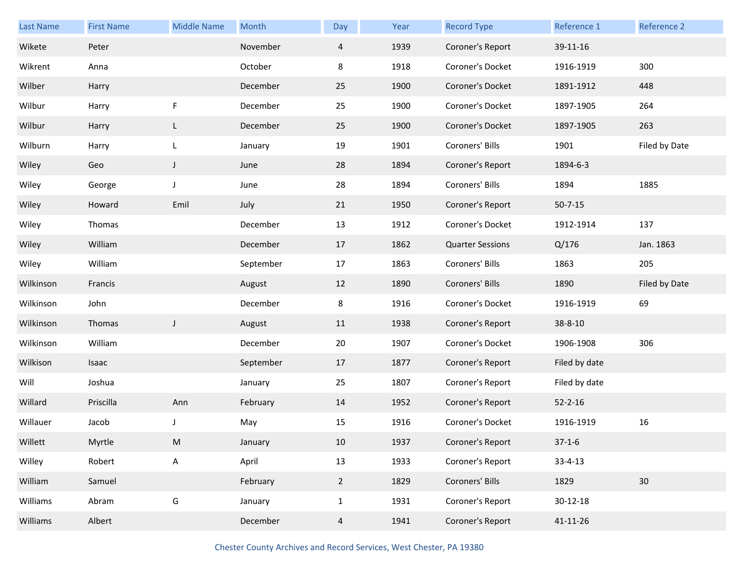| <b>Last Name</b> | <b>First Name</b> | <b>Middle Name</b> | Month     | Day            | Year | <b>Record Type</b>      | Reference 1    | Reference 2     |
|------------------|-------------------|--------------------|-----------|----------------|------|-------------------------|----------------|-----------------|
| Wikete           | Peter             |                    | November  | $\overline{4}$ | 1939 | Coroner's Report        | 39-11-16       |                 |
| Wikrent          | Anna              |                    | October   | 8              | 1918 | Coroner's Docket        | 1916-1919      | 300             |
| Wilber           | Harry             |                    | December  | 25             | 1900 | Coroner's Docket        | 1891-1912      | 448             |
| Wilbur           | Harry             | F                  | December  | 25             | 1900 | Coroner's Docket        | 1897-1905      | 264             |
| Wilbur           | Harry             | L                  | December  | 25             | 1900 | Coroner's Docket        | 1897-1905      | 263             |
| Wilburn          | Harry             | L                  | January   | 19             | 1901 | Coroners' Bills         | 1901           | Filed by Date   |
| Wiley            | Geo               | $\mathsf J$        | June      | 28             | 1894 | Coroner's Report        | 1894-6-3       |                 |
| Wiley            | George            | J                  | June      | 28             | 1894 | Coroners' Bills         | 1894           | 1885            |
| Wiley            | Howard            | Emil               | July      | 21             | 1950 | Coroner's Report        | $50 - 7 - 15$  |                 |
| Wiley            | Thomas            |                    | December  | 13             | 1912 | Coroner's Docket        | 1912-1914      | 137             |
| Wiley            | William           |                    | December  | 17             | 1862 | <b>Quarter Sessions</b> | Q/176          | Jan. 1863       |
| Wiley            | William           |                    | September | 17             | 1863 | Coroners' Bills         | 1863           | 205             |
| Wilkinson        | Francis           |                    | August    | 12             | 1890 | Coroners' Bills         | 1890           | Filed by Date   |
|                  |                   |                    |           |                |      |                         |                |                 |
| Wilkinson        | John              |                    | December  | 8              | 1916 | Coroner's Docket        | 1916-1919      | 69              |
| Wilkinson        | Thomas            | $\mathsf J$        | August    | 11             | 1938 | Coroner's Report        | 38-8-10        |                 |
| Wilkinson        | William           |                    | December  | 20             | 1907 | Coroner's Docket        | 1906-1908      | 306             |
| Wilkison         | Isaac             |                    | September | 17             | 1877 | Coroner's Report        | Filed by date  |                 |
| Will             | Joshua            |                    | January   | 25             | 1807 | Coroner's Report        | Filed by date  |                 |
| Willard          | Priscilla         | Ann                | February  | 14             | 1952 | Coroner's Report        | $52 - 2 - 16$  |                 |
| Willauer         | Jacob             | J                  | May       | 15             | 1916 | Coroner's Docket        | 1916-1919      | 16              |
| Willett          | Myrtle            | M                  | January   | $10\,$         | 1937 | Coroner's Report        | $37 - 1 - 6$   |                 |
| Willey           | Robert            | A                  | April     | 13             | 1933 | Coroner's Report        | $33 - 4 - 13$  |                 |
| William          | Samuel            |                    | February  | $2^{\circ}$    | 1829 | Coroners' Bills         | 1829           | 30 <sup>°</sup> |
| Williams         | Abram             | G                  | January   | $\mathbf{1}$   | 1931 | Coroner's Report        | $30 - 12 - 18$ |                 |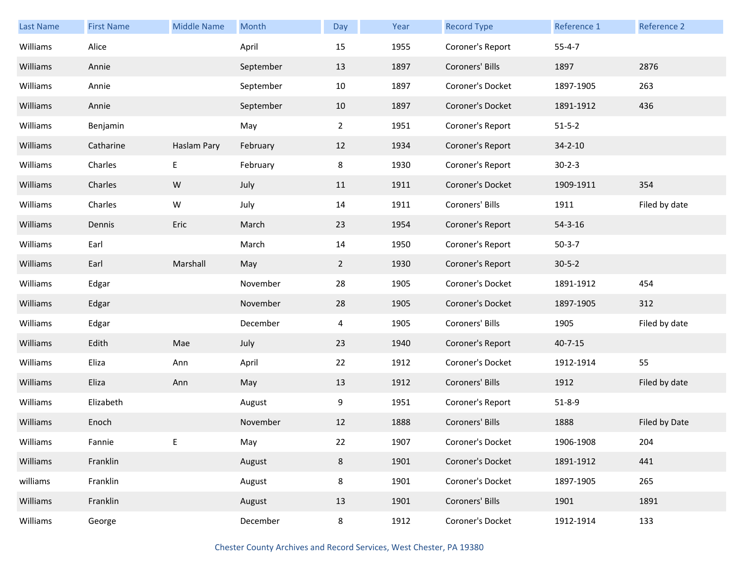| Last Name | <b>First Name</b> | <b>Middle Name</b> | Month     | Day            | Year | <b>Record Type</b> | Reference 1   | Reference 2   |
|-----------|-------------------|--------------------|-----------|----------------|------|--------------------|---------------|---------------|
| Williams  | Alice             |                    | April     | 15             | 1955 | Coroner's Report   | $55 - 4 - 7$  |               |
| Williams  | Annie             |                    | September | 13             | 1897 | Coroners' Bills    | 1897          | 2876          |
| Williams  | Annie             |                    | September | 10             | 1897 | Coroner's Docket   | 1897-1905     | 263           |
| Williams  | Annie             |                    | September | 10             | 1897 | Coroner's Docket   | 1891-1912     | 436           |
| Williams  | Benjamin          |                    | May       | $2^{\circ}$    | 1951 | Coroner's Report   | $51 - 5 - 2$  |               |
| Williams  | Catharine         | Haslam Pary        | February  | 12             | 1934 | Coroner's Report   | $34 - 2 - 10$ |               |
| Williams  | Charles           | Е                  | February  | 8              | 1930 | Coroner's Report   | $30 - 2 - 3$  |               |
| Williams  | Charles           | W                  | July      | 11             | 1911 | Coroner's Docket   | 1909-1911     | 354           |
| Williams  | Charles           | W                  | July      | 14             | 1911 | Coroners' Bills    | 1911          | Filed by date |
| Williams  | Dennis            | Eric               | March     | 23             | 1954 | Coroner's Report   | $54 - 3 - 16$ |               |
| Williams  | Earl              |                    | March     | 14             | 1950 | Coroner's Report   | $50-3-7$      |               |
| Williams  | Earl              | Marshall           | May       | $\mathbf{2}$   | 1930 | Coroner's Report   | $30 - 5 - 2$  |               |
| Williams  | Edgar             |                    | November  | 28             | 1905 | Coroner's Docket   | 1891-1912     | 454           |
| Williams  | Edgar             |                    | November  | 28             | 1905 | Coroner's Docket   | 1897-1905     | 312           |
| Williams  | Edgar             |                    | December  | 4              | 1905 | Coroners' Bills    | 1905          | Filed by date |
| Williams  | Edith             | Mae                | July      | 23             | 1940 | Coroner's Report   | $40 - 7 - 15$ |               |
| Williams  | Eliza             | Ann                | April     | 22             | 1912 | Coroner's Docket   | 1912-1914     | 55            |
| Williams  | Eliza             | Ann                | May       | 13             | 1912 | Coroners' Bills    | 1912          | Filed by date |
| Williams  | Elizabeth         |                    | August    | 9              | 1951 | Coroner's Report   | $51 - 8 - 9$  |               |
| Williams  | Enoch             |                    | November  | 12             | 1888 | Coroners' Bills    | 1888          | Filed by Date |
| Williams  | Fannie            | Е                  | May       | 22             | 1907 | Coroner's Docket   | 1906-1908     | 204           |
| Williams  | Franklin          |                    | August    | $8\phantom{1}$ | 1901 | Coroner's Docket   | 1891-1912     | 441           |
| williams  | Franklin          |                    | August    | $8\phantom{1}$ | 1901 | Coroner's Docket   | 1897-1905     | 265           |
| Williams  | Franklin          |                    | August    | 13             | 1901 | Coroners' Bills    | 1901          | 1891          |
| Williams  | George            |                    | December  | 8              | 1912 | Coroner's Docket   | 1912-1914     | 133           |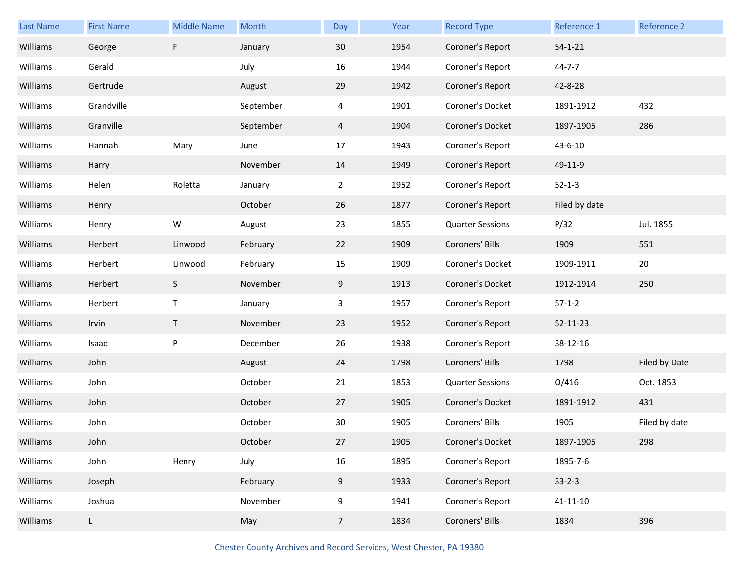| <b>Last Name</b> | <b>First Name</b> | <b>Middle Name</b> | Month     | Day            | Year | <b>Record Type</b>      | Reference 1    | Reference 2   |
|------------------|-------------------|--------------------|-----------|----------------|------|-------------------------|----------------|---------------|
| Williams         | George            | F                  | January   | 30             | 1954 | Coroner's Report        | $54 - 1 - 21$  |               |
| Williams         | Gerald            |                    | July      | 16             | 1944 | Coroner's Report        | $44 - 7 - 7$   |               |
| Williams         | Gertrude          |                    | August    | 29             | 1942 | Coroner's Report        | 42-8-28        |               |
| Williams         | Grandville        |                    | September | 4              | 1901 | Coroner's Docket        | 1891-1912      | 432           |
| Williams         | Granville         |                    | September | $\overline{4}$ | 1904 | Coroner's Docket        | 1897-1905      | 286           |
| Williams         | Hannah            | Mary               | June      | 17             | 1943 | Coroner's Report        | 43-6-10        |               |
| Williams         | Harry             |                    | November  | 14             | 1949 | Coroner's Report        | 49-11-9        |               |
| Williams         | Helen             | Roletta            | January   | $\overline{2}$ | 1952 | Coroner's Report        | $52 - 1 - 3$   |               |
| Williams         | Henry             |                    | October   | 26             | 1877 | Coroner's Report        | Filed by date  |               |
| Williams         | Henry             | W                  | August    | 23             | 1855 | <b>Quarter Sessions</b> | P/32           | Jul. 1855     |
| Williams         | Herbert           | Linwood            | February  | 22             | 1909 | Coroners' Bills         | 1909           | 551           |
| Williams         | Herbert           | Linwood            | February  | 15             | 1909 | Coroner's Docket        | 1909-1911      | 20            |
| Williams         | Herbert           | S                  | November  | 9              | 1913 | Coroner's Docket        | 1912-1914      | 250           |
| Williams         | Herbert           | $\mathsf{T}$       | January   | 3              | 1957 | Coroner's Report        | $57-1-2$       |               |
| Williams         | Irvin             | T                  | November  | 23             | 1952 | Coroner's Report        | 52-11-23       |               |
| Williams         | Isaac             | P                  | December  | 26             | 1938 | Coroner's Report        | 38-12-16       |               |
| Williams         | John              |                    | August    | 24             | 1798 | Coroners' Bills         | 1798           | Filed by Date |
| Williams         | John              |                    | October   | 21             | 1853 | <b>Quarter Sessions</b> | O/416          | Oct. 1853     |
| Williams         | John              |                    | October   | 27             | 1905 | Coroner's Docket        | 1891-1912      | 431           |
| Williams         | John              |                    | October   | 30             | 1905 | Coroners' Bills         | 1905           | Filed by date |
| Williams         | John              |                    | October   | 27             | 1905 | Coroner's Docket        | 1897-1905      | 298           |
| Williams         | John              | Henry              | July      | 16             | 1895 | Coroner's Report        | 1895-7-6       |               |
| Williams         | Joseph            |                    | February  | 9              | 1933 | Coroner's Report        | $33 - 2 - 3$   |               |
| Williams         | Joshua            |                    | November  | 9              | 1941 | Coroner's Report        | $41 - 11 - 10$ |               |
| Williams         | L                 |                    | May       | 7 <sup>7</sup> | 1834 | Coroners' Bills         | 1834           | 396           |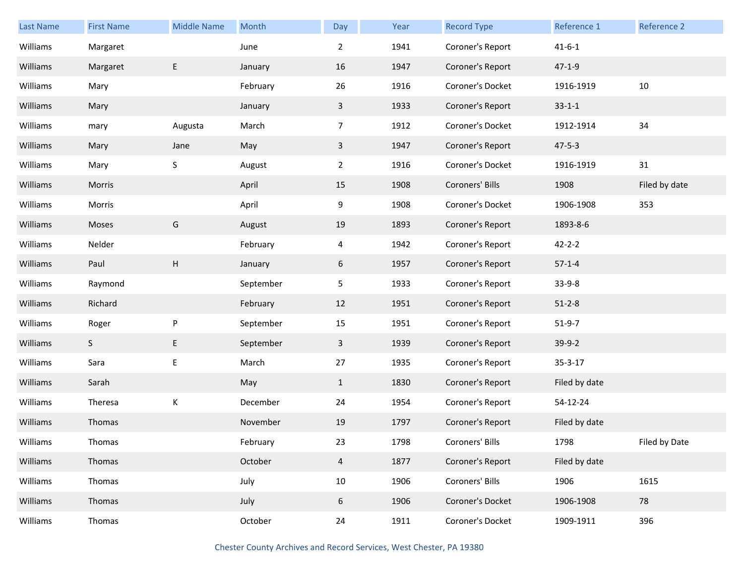| <b>Last Name</b> | <b>First Name</b> | <b>Middle Name</b> | Month     | Day            | Year | <b>Record Type</b> | Reference 1   | Reference 2   |
|------------------|-------------------|--------------------|-----------|----------------|------|--------------------|---------------|---------------|
| Williams         | Margaret          |                    | June      | $\overline{2}$ | 1941 | Coroner's Report   | $41 - 6 - 1$  |               |
| Williams         | Margaret          | E                  | January   | 16             | 1947 | Coroner's Report   | $47 - 1 - 9$  |               |
| Williams         | Mary              |                    | February  | 26             | 1916 | Coroner's Docket   | 1916-1919     | 10            |
| Williams         | Mary              |                    | January   | $\mathbf{3}$   | 1933 | Coroner's Report   | $33 - 1 - 1$  |               |
| Williams         | mary              | Augusta            | March     | 7 <sup>7</sup> | 1912 | Coroner's Docket   | 1912-1914     | 34            |
| Williams         | Mary              | Jane               | May       | $\mathbf{3}$   | 1947 | Coroner's Report   | $47 - 5 - 3$  |               |
| Williams         | Mary              | $\sf S$            | August    | $\overline{2}$ | 1916 | Coroner's Docket   | 1916-1919     | 31            |
| Williams         | Morris            |                    | April     | 15             | 1908 | Coroners' Bills    | 1908          | Filed by date |
| Williams         | Morris            |                    | April     | 9              | 1908 | Coroner's Docket   | 1906-1908     | 353           |
| Williams         | Moses             | G                  | August    | 19             | 1893 | Coroner's Report   | 1893-8-6      |               |
| Williams         | Nelder            |                    | February  | $\overline{4}$ | 1942 | Coroner's Report   | $42 - 2 - 2$  |               |
| Williams         | Paul              | H                  | January   | 6              | 1957 | Coroner's Report   | $57-1-4$      |               |
| Williams         | Raymond           |                    | September | 5 <sub>1</sub> | 1933 | Coroner's Report   | $33-9-8$      |               |
| Williams         | Richard           |                    | February  | 12             | 1951 | Coroner's Report   | $51 - 2 - 8$  |               |
| Williams         | Roger             | ${\sf P}$          | September | 15             | 1951 | Coroner's Report   | $51-9-7$      |               |
| Williams         | S                 | E                  | September | $\mathbf{3}$   | 1939 | Coroner's Report   | $39-9-2$      |               |
| Williams         | Sara              | E                  | March     | 27             | 1935 | Coroner's Report   | $35 - 3 - 17$ |               |
| Williams         | Sarah             |                    | May       | $\mathbf{1}$   | 1830 | Coroner's Report   | Filed by date |               |
| Williams         | Theresa           | К                  | December  | 24             | 1954 | Coroner's Report   | 54-12-24      |               |
| Williams         | Thomas            |                    | November  | 19             | 1797 | Coroner's Report   | Filed by date |               |
| Williams         | Thomas            |                    | February  | 23             | 1798 | Coroners' Bills    | 1798          | Filed by Date |
| Williams         | Thomas            |                    | October   | $\overline{4}$ | 1877 | Coroner's Report   | Filed by date |               |
| Williams         | Thomas            |                    | July      | 10             | 1906 | Coroners' Bills    | 1906          | 1615          |
| Williams         | Thomas            |                    | July      | 6              | 1906 | Coroner's Docket   | 1906-1908     | 78            |
| Williams         | Thomas            |                    | October   | 24             | 1911 | Coroner's Docket   | 1909-1911     | 396           |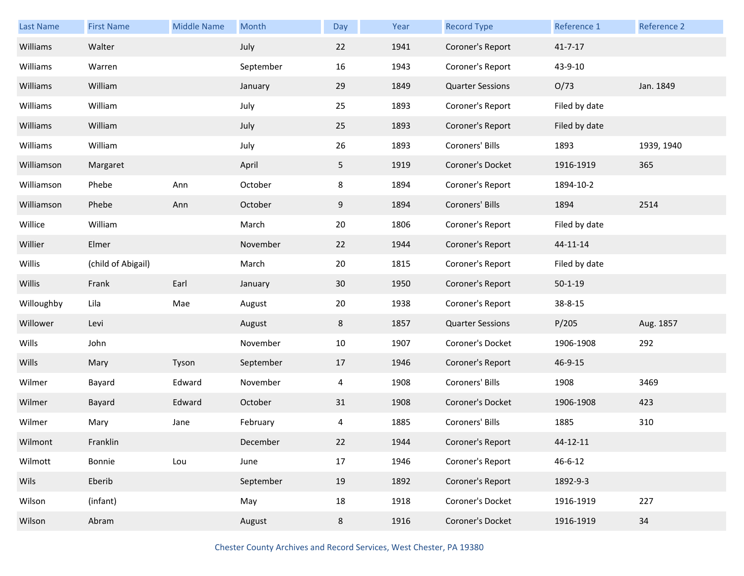| <b>Last Name</b> | <b>First Name</b>  | <b>Middle Name</b> | Month     | <b>Day</b>     | Year | <b>Record Type</b>      | Reference 1   | Reference 2 |
|------------------|--------------------|--------------------|-----------|----------------|------|-------------------------|---------------|-------------|
| Williams         | Walter             |                    | July      | 22             | 1941 | Coroner's Report        | $41 - 7 - 17$ |             |
| Williams         | Warren             |                    | September | 16             | 1943 | Coroner's Report        | 43-9-10       |             |
| Williams         | William            |                    | January   | 29             | 1849 | <b>Quarter Sessions</b> | O/73          | Jan. 1849   |
| Williams         | William            |                    | July      | 25             | 1893 | Coroner's Report        | Filed by date |             |
| Williams         | William            |                    | July      | 25             | 1893 | Coroner's Report        | Filed by date |             |
| Williams         | William            |                    | July      | 26             | 1893 | Coroners' Bills         | 1893          | 1939, 1940  |
| Williamson       | Margaret           |                    | April     | 5 <sub>1</sub> | 1919 | Coroner's Docket        | 1916-1919     | 365         |
| Williamson       | Phebe              | Ann                | October   | 8              | 1894 | Coroner's Report        | 1894-10-2     |             |
| Williamson       | Phebe              | Ann                | October   | 9              | 1894 | Coroners' Bills         | 1894          | 2514        |
| Willice          | William            |                    | March     | 20             | 1806 | Coroner's Report        | Filed by date |             |
| Willier          | Elmer              |                    | November  | 22             | 1944 | Coroner's Report        | 44-11-14      |             |
| Willis           | (child of Abigail) |                    | March     | 20             | 1815 | Coroner's Report        | Filed by date |             |
| Willis           | Frank              | Earl               | January   | 30             | 1950 | Coroner's Report        | $50 - 1 - 19$ |             |
|                  |                    |                    |           |                |      |                         |               |             |
| Willoughby       | Lila               | Mae                | August    | 20             | 1938 | Coroner's Report        | 38-8-15       |             |
| Willower         | Levi               |                    | August    | 8              | 1857 | <b>Quarter Sessions</b> | P/205         | Aug. 1857   |
| Wills            | John               |                    | November  | 10             | 1907 | Coroner's Docket        | 1906-1908     | 292         |
| Wills            | Mary               | Tyson              | September | 17             | 1946 | Coroner's Report        | 46-9-15       |             |
| Wilmer           | Bayard             | Edward             | November  | 4              | 1908 | Coroners' Bills         | 1908          | 3469        |
| Wilmer           | Bayard             | Edward             | October   | 31             | 1908 | Coroner's Docket        | 1906-1908     | 423         |
| Wilmer           | Mary               | Jane               | February  | 4              | 1885 | Coroners' Bills         | 1885          | 310         |
| Wilmont          | Franklin           |                    | December  | 22             | 1944 | Coroner's Report        | 44-12-11      |             |
| Wilmott          | Bonnie             | Lou                | June      | 17             | 1946 | Coroner's Report        | 46-6-12       |             |
| Wils             | Eberib             |                    | September | 19             | 1892 | Coroner's Report        | 1892-9-3      |             |
| Wilson           | (infant)           |                    | May       | 18             | 1918 | Coroner's Docket        | 1916-1919     | 227         |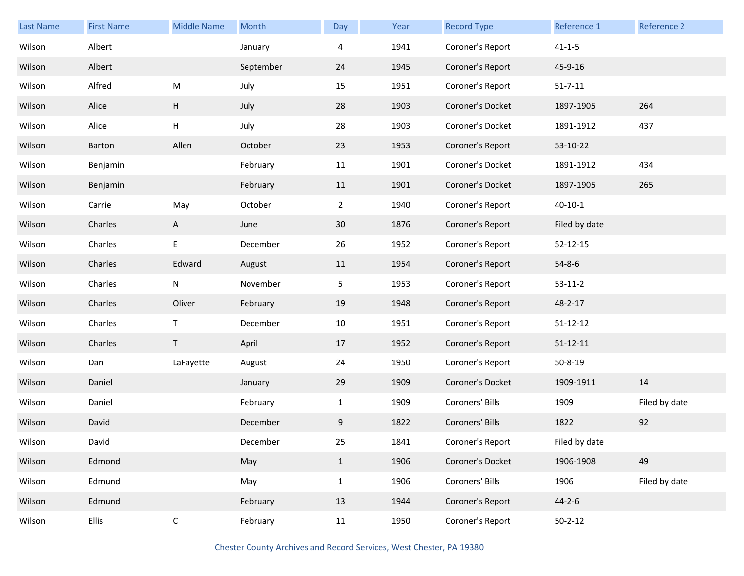| <b>Last Name</b> | <b>First Name</b> | <b>Middle Name</b> | Month     | Day            | Year | <b>Record Type</b> | Reference 1    | Reference 2   |
|------------------|-------------------|--------------------|-----------|----------------|------|--------------------|----------------|---------------|
| Wilson           | Albert            |                    | January   | 4              | 1941 | Coroner's Report   | $41 - 1 - 5$   |               |
| Wilson           | Albert            |                    | September | 24             | 1945 | Coroner's Report   | 45-9-16        |               |
| Wilson           | Alfred            | ${\sf M}$          | July      | 15             | 1951 | Coroner's Report   | $51 - 7 - 11$  |               |
| Wilson           | Alice             | H                  | July      | 28             | 1903 | Coroner's Docket   | 1897-1905      | 264           |
| Wilson           | Alice             | H                  | July      | 28             | 1903 | Coroner's Docket   | 1891-1912      | 437           |
| Wilson           | Barton            | Allen              | October   | 23             | 1953 | Coroner's Report   | 53-10-22       |               |
| Wilson           | Benjamin          |                    | February  | 11             | 1901 | Coroner's Docket   | 1891-1912      | 434           |
| Wilson           | Benjamin          |                    | February  | 11             | 1901 | Coroner's Docket   | 1897-1905      | 265           |
| Wilson           | Carrie            | May                | October   | $\overline{2}$ | 1940 | Coroner's Report   | $40 - 10 - 1$  |               |
| Wilson           | Charles           | $\mathsf{A}$       | June      | 30             | 1876 | Coroner's Report   | Filed by date  |               |
| Wilson           | Charles           | E                  | December  | 26             | 1952 | Coroner's Report   | $52 - 12 - 15$ |               |
| Wilson           | Charles           | Edward             | August    | 11             | 1954 | Coroner's Report   | $54 - 8 - 6$   |               |
| Wilson           | Charles           | $\mathsf{N}$       | November  | 5 <sub>1</sub> | 1953 | Coroner's Report   | $53-11-2$      |               |
| Wilson           | Charles           | Oliver             | February  | 19             | 1948 | Coroner's Report   | 48-2-17        |               |
| Wilson           | Charles           | $\mathsf T$        | December  | 10             | 1951 | Coroner's Report   | $51 - 12 - 12$ |               |
| Wilson           | Charles           | T.                 | April     | 17             | 1952 | Coroner's Report   | $51 - 12 - 11$ |               |
| Wilson           | Dan               | LaFayette          | August    | 24             | 1950 | Coroner's Report   | $50 - 8 - 19$  |               |
| Wilson           | Daniel            |                    | January   | 29             | 1909 | Coroner's Docket   | 1909-1911      | 14            |
| Wilson           | Daniel            |                    | February  | $\mathbf{1}$   | 1909 | Coroners' Bills    | 1909           | Filed by date |
| Wilson           | David             |                    | December  | 9              | 1822 | Coroners' Bills    | 1822           | 92            |
| Wilson           | David             |                    | December  | 25             | 1841 | Coroner's Report   | Filed by date  |               |
| Wilson           | Edmond            |                    | May       | $\mathbf{1}$   | 1906 | Coroner's Docket   | 1906-1908      | 49            |
| Wilson           | Edmund            |                    | May       | $\mathbf{1}$   | 1906 | Coroners' Bills    | 1906           | Filed by date |
| Wilson           | Edmund            |                    | February  | 13             | 1944 | Coroner's Report   | $44 - 2 - 6$   |               |
| Wilson           | Ellis             | $\mathsf C$        | February  | 11             | 1950 | Coroner's Report   | $50 - 2 - 12$  |               |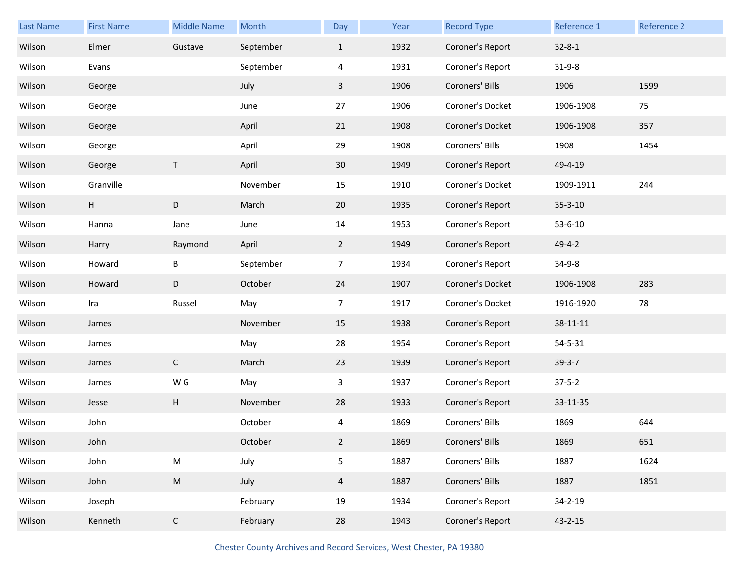| Last Name | <b>First Name</b> | <b>Middle Name</b>        | Month     | Day            | Year | <b>Record Type</b> | Reference 1   | Reference 2 |
|-----------|-------------------|---------------------------|-----------|----------------|------|--------------------|---------------|-------------|
| Wilson    | Elmer             | Gustave                   | September | $\mathbf{1}$   | 1932 | Coroner's Report   | $32 - 8 - 1$  |             |
| Wilson    | Evans             |                           | September | 4              | 1931 | Coroner's Report   | $31 - 9 - 8$  |             |
| Wilson    | George            |                           | July      | $\mathbf{3}$   | 1906 | Coroners' Bills    | 1906          | 1599        |
| Wilson    | George            |                           | June      | 27             | 1906 | Coroner's Docket   | 1906-1908     | 75          |
| Wilson    | George            |                           | April     | 21             | 1908 | Coroner's Docket   | 1906-1908     | 357         |
| Wilson    | George            |                           | April     | 29             | 1908 | Coroners' Bills    | 1908          | 1454        |
| Wilson    | George            | $\sf T$                   | April     | 30             | 1949 | Coroner's Report   | 49-4-19       |             |
| Wilson    | Granville         |                           | November  | 15             | 1910 | Coroner's Docket   | 1909-1911     | 244         |
| Wilson    | Н                 | D                         | March     | 20             | 1935 | Coroner's Report   | $35 - 3 - 10$ |             |
| Wilson    | Hanna             | Jane                      | June      | 14             | 1953 | Coroner's Report   | $53 - 6 - 10$ |             |
| Wilson    | Harry             | Raymond                   | April     | $\overline{2}$ | 1949 | Coroner's Report   | $49 - 4 - 2$  |             |
| Wilson    | Howard            | B                         | September | $\overline{7}$ | 1934 | Coroner's Report   | $34 - 9 - 8$  |             |
| Wilson    | Howard            | D                         | October   | 24             | 1907 | Coroner's Docket   | 1906-1908     | 283         |
| Wilson    | Ira               | Russel                    | May       | $\overline{7}$ | 1917 | Coroner's Docket   | 1916-1920     | 78          |
| Wilson    | James             |                           | November  | 15             | 1938 | Coroner's Report   | 38-11-11      |             |
| Wilson    | James             |                           | May       | 28             | 1954 | Coroner's Report   | $54 - 5 - 31$ |             |
| Wilson    | James             | $\mathsf{C}$              | March     | 23             | 1939 | Coroner's Report   | $39 - 3 - 7$  |             |
| Wilson    | James             | W G                       | May       | 3              | 1937 | Coroner's Report   | $37 - 5 - 2$  |             |
| Wilson    | Jesse             | $\boldsymbol{\mathsf{H}}$ | November  | 28             | 1933 | Coroner's Report   | 33-11-35      |             |
| Wilson    | John              |                           | October   | 4              | 1869 | Coroners' Bills    | 1869          | 644         |
| Wilson    | John              |                           | October   | $\overline{2}$ | 1869 | Coroners' Bills    | 1869          | 651         |
| Wilson    | John              | ${\sf M}$                 | July      | 5              | 1887 | Coroners' Bills    | 1887          | 1624        |
| Wilson    | John              | ${\sf M}$                 | July      | $\overline{4}$ | 1887 | Coroners' Bills    | 1887          | 1851        |
| Wilson    | Joseph            |                           | February  | 19             | 1934 | Coroner's Report   | $34 - 2 - 19$ |             |
| Wilson    | Kenneth           | $\mathsf{C}$              | February  | 28             | 1943 | Coroner's Report   | $43 - 2 - 15$ |             |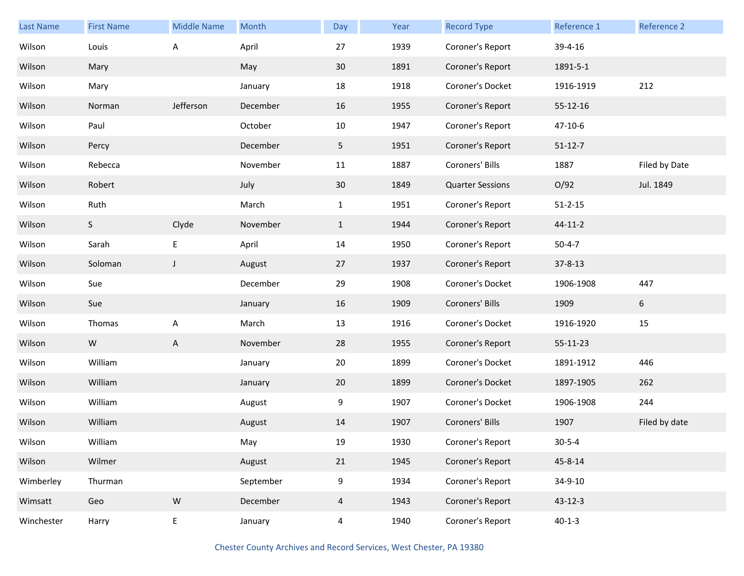| <b>Last Name</b> | <b>First Name</b> | <b>Middle Name</b> | Month     | Day            | Year | <b>Record Type</b>      | Reference 1   | Reference 2   |
|------------------|-------------------|--------------------|-----------|----------------|------|-------------------------|---------------|---------------|
| Wilson           | Louis             | A                  | April     | 27             | 1939 | Coroner's Report        | 39-4-16       |               |
| Wilson           | Mary              |                    | May       | 30             | 1891 | Coroner's Report        | 1891-5-1      |               |
| Wilson           | Mary              |                    | January   | 18             | 1918 | Coroner's Docket        | 1916-1919     | 212           |
| Wilson           | Norman            | Jefferson          | December  | 16             | 1955 | Coroner's Report        | 55-12-16      |               |
| Wilson           | Paul              |                    | October   | 10             | 1947 | Coroner's Report        | 47-10-6       |               |
| Wilson           | Percy             |                    | December  | 5              | 1951 | Coroner's Report        | $51 - 12 - 7$ |               |
| Wilson           | Rebecca           |                    | November  | 11             | 1887 | Coroners' Bills         | 1887          | Filed by Date |
| Wilson           | Robert            |                    | July      | 30             | 1849 | <b>Quarter Sessions</b> | O/92          | Jul. 1849     |
| Wilson           | Ruth              |                    | March     | $\mathbf{1}$   | 1951 | Coroner's Report        | $51 - 2 - 15$ |               |
| Wilson           | S                 | Clyde              | November  | $\mathbf{1}$   | 1944 | Coroner's Report        | 44-11-2       |               |
| Wilson           | Sarah             | E                  | April     | 14             | 1950 | Coroner's Report        | $50 - 4 - 7$  |               |
| Wilson           | Soloman           | $\mathsf{J}$       | August    | 27             | 1937 | Coroner's Report        | $37 - 8 - 13$ |               |
| Wilson           | Sue               |                    | December  | 29             | 1908 | Coroner's Docket        | 1906-1908     | 447           |
| Wilson           | Sue               |                    | January   | 16             | 1909 | Coroners' Bills         | 1909          | 6             |
| Wilson           | Thomas            | А                  | March     | 13             | 1916 | Coroner's Docket        | 1916-1920     | 15            |
| Wilson           | W                 | A                  | November  | 28             | 1955 | Coroner's Report        | 55-11-23      |               |
| Wilson           | William           |                    | January   | 20             | 1899 | Coroner's Docket        | 1891-1912     | 446           |
| Wilson           | William           |                    | January   | 20             | 1899 | Coroner's Docket        | 1897-1905     | 262           |
| Wilson           | William           |                    | August    | 9              | 1907 | Coroner's Docket        | 1906-1908     | 244           |
| Wilson           | William           |                    | August    | 14             | 1907 | Coroners' Bills         | 1907          | Filed by date |
| Wilson           | William           |                    | May       | 19             | 1930 | Coroner's Report        | $30 - 5 - 4$  |               |
| Wilson           | Wilmer            |                    | August    | 21             | 1945 | Coroner's Report        | 45-8-14       |               |
| Wimberley        | Thurman           |                    | September | 9              | 1934 | Coroner's Report        | 34-9-10       |               |
| Wimsatt          | Geo               | ${\sf W}$          | December  | $\overline{4}$ | 1943 | Coroner's Report        | $43 - 12 - 3$ |               |
| Winchester       | Harry             | E                  | January   | $\overline{4}$ | 1940 | Coroner's Report        | $40 - 1 - 3$  |               |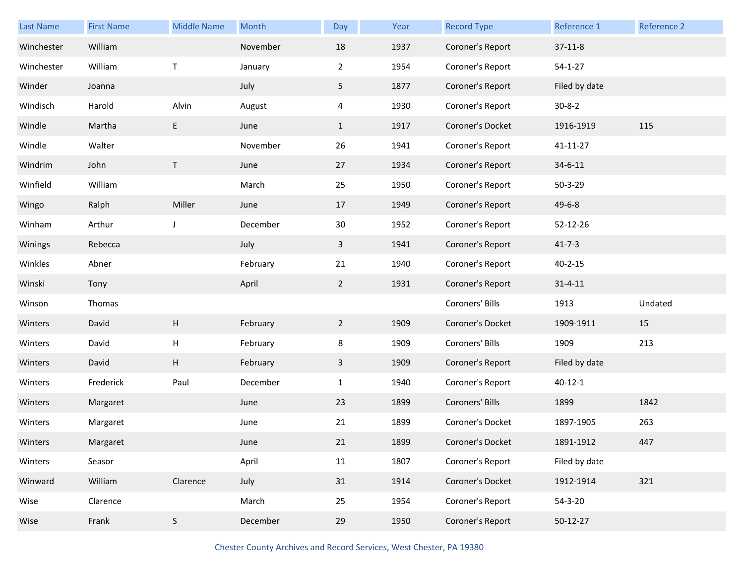| Last Name  | <b>First Name</b> | <b>Middle Name</b> | Month    | Day            | Year | <b>Record Type</b> | Reference 1   | <b>Reference 2</b> |
|------------|-------------------|--------------------|----------|----------------|------|--------------------|---------------|--------------------|
| Winchester | William           |                    | November | 18             | 1937 | Coroner's Report   | $37 - 11 - 8$ |                    |
| Winchester | William           | T                  | January  | $\overline{2}$ | 1954 | Coroner's Report   | $54 - 1 - 27$ |                    |
| Winder     | Joanna            |                    | July     | 5              | 1877 | Coroner's Report   | Filed by date |                    |
| Windisch   | Harold            | Alvin              | August   | 4              | 1930 | Coroner's Report   | $30 - 8 - 2$  |                    |
| Windle     | Martha            | E                  | June     | $\mathbf{1}$   | 1917 | Coroner's Docket   | 1916-1919     | 115                |
| Windle     | Walter            |                    | November | 26             | 1941 | Coroner's Report   | 41-11-27      |                    |
| Windrim    | John              | $\top$             | June     | 27             | 1934 | Coroner's Report   | $34 - 6 - 11$ |                    |
| Winfield   | William           |                    | March    | 25             | 1950 | Coroner's Report   | $50 - 3 - 29$ |                    |
| Wingo      | Ralph             | Miller             | June     | 17             | 1949 | Coroner's Report   | $49 - 6 - 8$  |                    |
| Winham     | Arthur            | J                  | December | 30             | 1952 | Coroner's Report   | 52-12-26      |                    |
| Winings    | Rebecca           |                    | July     | $\mathbf{3}$   | 1941 | Coroner's Report   | $41 - 7 - 3$  |                    |
| Winkles    | Abner             |                    | February | 21             | 1940 | Coroner's Report   | $40 - 2 - 15$ |                    |
| Winski     | Tony              |                    | April    | $2^{\circ}$    | 1931 | Coroner's Report   | $31 - 4 - 11$ |                    |
| Winson     | Thomas            |                    |          |                |      | Coroners' Bills    | 1913          | Undated            |
| Winters    | David             | Н                  | February | $2^{\circ}$    | 1909 | Coroner's Docket   | 1909-1911     | 15                 |
| Winters    | David             | н                  | February | 8              | 1909 | Coroners' Bills    | 1909          | 213                |
| Winters    | David             | Н                  | February | $\mathbf{3}$   | 1909 | Coroner's Report   | Filed by date |                    |
| Winters    | Frederick         | Paul               | December | $\mathbf{1}$   | 1940 | Coroner's Report   | $40 - 12 - 1$ |                    |
| Winters    | Margaret          |                    | June     | 23             | 1899 | Coroners' Bills    | 1899          | 1842               |
| Winters    | Margaret          |                    | June     | 21             | 1899 | Coroner's Docket   | 1897-1905     | 263                |
| Winters    | Margaret          |                    | June     | 21             | 1899 | Coroner's Docket   | 1891-1912     | 447                |
| Winters    | Seasor            |                    | April    | 11             | 1807 | Coroner's Report   | Filed by date |                    |
| Winward    | William           | Clarence           | July     | 31             | 1914 | Coroner's Docket   | 1912-1914     | 321                |
| Wise       | Clarence          |                    | March    | 25             | 1954 | Coroner's Report   | $54 - 3 - 20$ |                    |
| Wise       | Frank             | $\mathsf S$        | December | 29             | 1950 | Coroner's Report   | 50-12-27      |                    |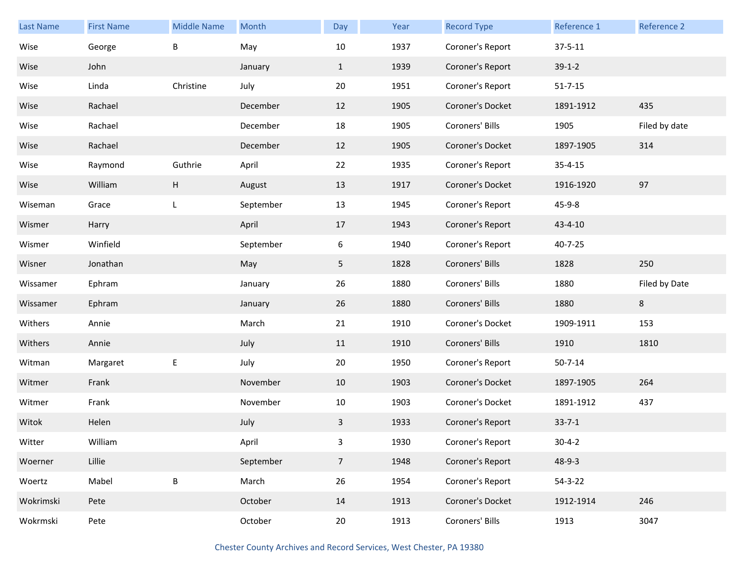| Last Name | <b>First Name</b> | <b>Middle Name</b> | Month     | Day             | Year | <b>Record Type</b> | Reference 1   | <b>Reference 2</b> |
|-----------|-------------------|--------------------|-----------|-----------------|------|--------------------|---------------|--------------------|
| Wise      | George            | B                  | May       | 10              | 1937 | Coroner's Report   | $37 - 5 - 11$ |                    |
| Wise      | John              |                    | January   | $\mathbf{1}$    | 1939 | Coroner's Report   | $39-1-2$      |                    |
| Wise      | Linda             | Christine          | July      | 20              | 1951 | Coroner's Report   | $51 - 7 - 15$ |                    |
| Wise      | Rachael           |                    | December  | 12              | 1905 | Coroner's Docket   | 1891-1912     | 435                |
| Wise      | Rachael           |                    | December  | 18              | 1905 | Coroners' Bills    | 1905          | Filed by date      |
| Wise      | Rachael           |                    | December  | 12              | 1905 | Coroner's Docket   | 1897-1905     | 314                |
| Wise      | Raymond           | Guthrie            | April     | 22              | 1935 | Coroner's Report   | $35 - 4 - 15$ |                    |
| Wise      | William           | H                  | August    | 13              | 1917 | Coroner's Docket   | 1916-1920     | 97                 |
| Wiseman   | Grace             | L                  | September | 13              | 1945 | Coroner's Report   | 45-9-8        |                    |
| Wismer    | Harry             |                    | April     | 17              | 1943 | Coroner's Report   | 43-4-10       |                    |
| Wismer    | Winfield          |                    | September | 6               | 1940 | Coroner's Report   | 40-7-25       |                    |
| Wisner    | Jonathan          |                    | May       | 5               | 1828 | Coroners' Bills    | 1828          | 250                |
| Wissamer  | Ephram            |                    | January   | 26              | 1880 | Coroners' Bills    | 1880          | Filed by Date      |
| Wissamer  | Ephram            |                    | January   | 26              | 1880 | Coroners' Bills    | 1880          | 8                  |
| Withers   | Annie             |                    | March     | 21              | 1910 | Coroner's Docket   | 1909-1911     | 153                |
| Withers   | Annie             |                    | July      | 11              | 1910 | Coroners' Bills    | 1910          | 1810               |
| Witman    | Margaret          | E                  | July      | 20              | 1950 | Coroner's Report   | $50 - 7 - 14$ |                    |
| Witmer    | Frank             |                    | November  | 10              | 1903 | Coroner's Docket   | 1897-1905     | 264                |
| Witmer    | Frank             |                    | November  | 10              | 1903 | Coroner's Docket   | 1891-1912     | 437                |
| Witok     | Helen             |                    | July      | 3               | 1933 | Coroner's Report   | $33 - 7 - 1$  |                    |
| Witter    | William           |                    | April     | 3               | 1930 | Coroner's Report   | $30 - 4 - 2$  |                    |
| Woerner   | Lillie            |                    | September | $7\overline{ }$ | 1948 | Coroner's Report   | $48 - 9 - 3$  |                    |
| Woertz    | Mabel             | $\sf B$            | March     | 26              | 1954 | Coroner's Report   | $54 - 3 - 22$ |                    |
| Wokrimski | Pete              |                    | October   | 14              | 1913 | Coroner's Docket   | 1912-1914     | 246                |
| Wokrmski  | Pete              |                    | October   | 20              | 1913 | Coroners' Bills    | 1913          | 3047               |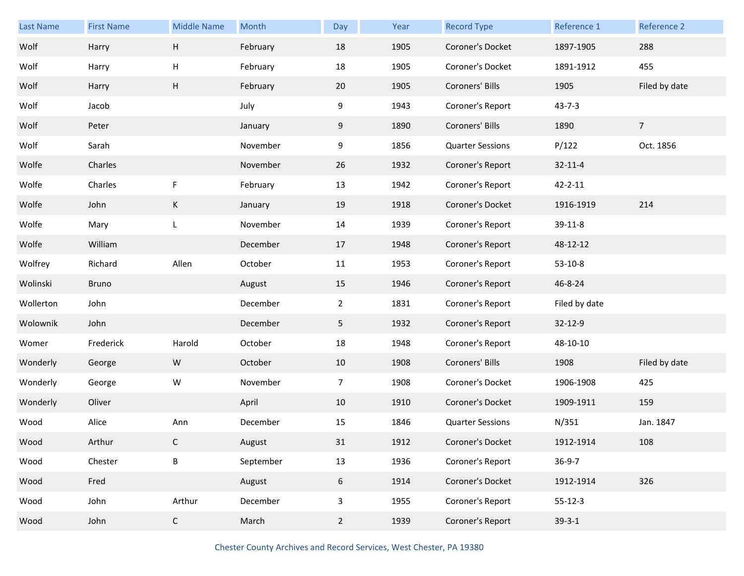| Last Name | <b>First Name</b> | <b>Middle Name</b> | Month     | Day            | Year | <b>Record Type</b>      | Reference 1   | Reference 2    |
|-----------|-------------------|--------------------|-----------|----------------|------|-------------------------|---------------|----------------|
| Wolf      | Harry             | H                  | February  | 18             | 1905 | Coroner's Docket        | 1897-1905     | 288            |
| Wolf      | Harry             | H                  | February  | 18             | 1905 | Coroner's Docket        | 1891-1912     | 455            |
| Wolf      | Harry             | Н                  | February  | 20             | 1905 | Coroners' Bills         | 1905          | Filed by date  |
| Wolf      | Jacob             |                    | July      | 9              | 1943 | Coroner's Report        | $43 - 7 - 3$  |                |
| Wolf      | Peter             |                    | January   | 9              | 1890 | Coroners' Bills         | 1890          | $\overline{7}$ |
| Wolf      | Sarah             |                    | November  | 9              | 1856 | <b>Quarter Sessions</b> | P/122         | Oct. 1856      |
| Wolfe     | Charles           |                    | November  | 26             | 1932 | Coroner's Report        | $32 - 11 - 4$ |                |
| Wolfe     | Charles           | F                  | February  | 13             | 1942 | Coroner's Report        | $42 - 2 - 11$ |                |
| Wolfe     | John              | K                  | January   | 19             | 1918 | Coroner's Docket        | 1916-1919     | 214            |
| Wolfe     | Mary              | L                  | November  | 14             | 1939 | Coroner's Report        | 39-11-8       |                |
| Wolfe     | William           |                    | December  | 17             | 1948 | Coroner's Report        | 48-12-12      |                |
| Wolfrey   | Richard           | Allen              | October   | 11             | 1953 | Coroner's Report        | $53-10-8$     |                |
| Wolinski  | Bruno             |                    | August    | 15             | 1946 | Coroner's Report        | 46-8-24       |                |
| Wollerton | John              |                    | December  | $\overline{2}$ | 1831 | Coroner's Report        | Filed by date |                |
| Wolownik  | John              |                    | December  | 5              | 1932 | Coroner's Report        | 32-12-9       |                |
| Womer     | Frederick         | Harold             | October   | 18             | 1948 | Coroner's Report        | 48-10-10      |                |
| Wonderly  | George            | W                  | October   | 10             | 1908 | Coroners' Bills         | 1908          | Filed by date  |
| Wonderly  | George            | W                  | November  | 7 <sup>7</sup> | 1908 | Coroner's Docket        | 1906-1908     | 425            |
| Wonderly  | Oliver            |                    | April     | 10             | 1910 | Coroner's Docket        | 1909-1911     | 159            |
| Wood      | Alice             | Ann                | December  | 15             | 1846 | <b>Quarter Sessions</b> | N/351         | Jan. 1847      |
|           |                   |                    |           |                |      |                         |               |                |
| Wood      | Arthur            | C                  | August    | 31             | 1912 | Coroner's Docket        | 1912-1914     | 108            |
| Wood      | Chester           | $\sf B$            | September | 13             | 1936 | Coroner's Report        | $36-9-7$      |                |
| Wood      | Fred              |                    | August    | 6              | 1914 | Coroner's Docket        | 1912-1914     | 326            |
| Wood      | John              | Arthur             | December  | $\mathbf{3}$   | 1955 | Coroner's Report        | $55 - 12 - 3$ |                |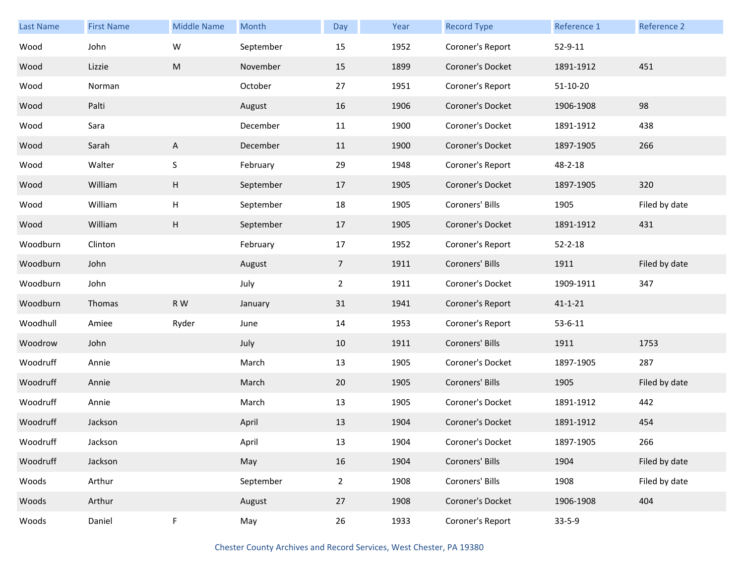| Last Name | <b>First Name</b> | <b>Middle Name</b>        | Month     | Day            | Year | <b>Record Type</b> | Reference 1   | Reference 2   |
|-----------|-------------------|---------------------------|-----------|----------------|------|--------------------|---------------|---------------|
| Wood      | John              | W                         | September | 15             | 1952 | Coroner's Report   | 52-9-11       |               |
| Wood      | Lizzie            | M                         | November  | 15             | 1899 | Coroner's Docket   | 1891-1912     | 451           |
| Wood      | Norman            |                           | October   | 27             | 1951 | Coroner's Report   | $51-10-20$    |               |
| Wood      | Palti             |                           | August    | 16             | 1906 | Coroner's Docket   | 1906-1908     | 98            |
| Wood      | Sara              |                           | December  | 11             | 1900 | Coroner's Docket   | 1891-1912     | 438           |
| Wood      | Sarah             | $\mathsf{A}$              | December  | 11             | 1900 | Coroner's Docket   | 1897-1905     | 266           |
| Wood      | Walter            | $\sf S$                   | February  | 29             | 1948 | Coroner's Report   | 48-2-18       |               |
| Wood      | William           | H                         | September | 17             | 1905 | Coroner's Docket   | 1897-1905     | 320           |
| Wood      | William           | Н                         | September | 18             | 1905 | Coroners' Bills    | 1905          | Filed by date |
| Wood      | William           | $\boldsymbol{\mathsf{H}}$ | September | 17             | 1905 | Coroner's Docket   | 1891-1912     | 431           |
| Woodburn  | Clinton           |                           | February  | 17             | 1952 | Coroner's Report   | $52 - 2 - 18$ |               |
| Woodburn  | John              |                           | August    | $\overline{7}$ | 1911 | Coroners' Bills    | 1911          | Filed by date |
| Woodburn  | John              |                           | July      | $2^{\circ}$    | 1911 | Coroner's Docket   | 1909-1911     | 347           |
| Woodburn  | Thomas            | R W                       | January   | 31             | 1941 | Coroner's Report   | $41 - 1 - 21$ |               |
| Woodhull  | Amiee             | Ryder                     | June      | 14             | 1953 | Coroner's Report   | $53 - 6 - 11$ |               |
| Woodrow   | John              |                           | July      | 10             | 1911 | Coroners' Bills    | 1911          | 1753          |
| Woodruff  | Annie             |                           | March     | 13             | 1905 | Coroner's Docket   | 1897-1905     | 287           |
| Woodruff  | Annie             |                           | March     | 20             | 1905 | Coroners' Bills    | 1905          | Filed by date |
| Woodruff  | Annie             |                           | March     | 13             | 1905 | Coroner's Docket   | 1891-1912     | 442           |
| Woodruff  | Jackson           |                           | April     | 13             | 1904 | Coroner's Docket   | 1891-1912     | 454           |
| Woodruff  | Jackson           |                           | April     | 13             | 1904 | Coroner's Docket   | 1897-1905     | 266           |
| Woodruff  | Jackson           |                           | May       | 16             | 1904 | Coroners' Bills    | 1904          | Filed by date |
| Woods     | Arthur            |                           | September | $2^{\circ}$    | 1908 | Coroners' Bills    | 1908          | Filed by date |
| Woods     | Arthur            |                           | August    | 27             | 1908 | Coroner's Docket   | 1906-1908     | 404           |
| Woods     | Daniel            | F                         | May       | 26             | 1933 | Coroner's Report   | $33 - 5 - 9$  |               |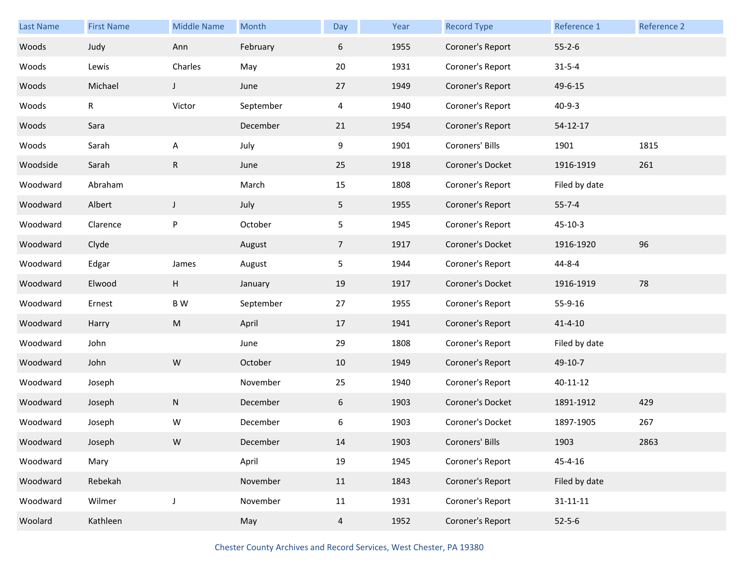| <b>Last Name</b> | <b>First Name</b> | <b>Middle Name</b> | Month     | Day            | Year | <b>Record Type</b> | Reference 1    | Reference 2 |
|------------------|-------------------|--------------------|-----------|----------------|------|--------------------|----------------|-------------|
| Woods            | Judy              | Ann                | February  | 6              | 1955 | Coroner's Report   | $55 - 2 - 6$   |             |
| Woods            | Lewis             | Charles            | May       | 20             | 1931 | Coroner's Report   | $31 - 5 - 4$   |             |
| Woods            | Michael           | $\mathsf J$        | June      | 27             | 1949 | Coroner's Report   | 49-6-15        |             |
| Woods            | $\mathsf{R}$      | Victor             | September | 4              | 1940 | Coroner's Report   | $40 - 9 - 3$   |             |
| Woods            | Sara              |                    | December  | 21             | 1954 | Coroner's Report   | 54-12-17       |             |
| Woods            | Sarah             | A                  | July      | 9              | 1901 | Coroners' Bills    | 1901           | 1815        |
| Woodside         | Sarah             | R                  | June      | 25             | 1918 | Coroner's Docket   | 1916-1919      | 261         |
| Woodward         | Abraham           |                    | March     | 15             | 1808 | Coroner's Report   | Filed by date  |             |
| Woodward         | Albert            | J                  | July      | 5              | 1955 | Coroner's Report   | $55 - 7 - 4$   |             |
| Woodward         | Clarence          | P                  | October   | 5              | 1945 | Coroner's Report   | $45 - 10 - 3$  |             |
| Woodward         | Clyde             |                    | August    | $\overline{7}$ | 1917 | Coroner's Docket   | 1916-1920      | 96          |
| Woodward         | Edgar             | James              | August    | 5              | 1944 | Coroner's Report   | $44 - 8 - 4$   |             |
| Woodward         | Elwood            | Н                  | January   | 19             | 1917 | Coroner's Docket   | 1916-1919      | 78          |
| Woodward         | Ernest            | B W                | September | 27             | 1955 | Coroner's Report   | 55-9-16        |             |
| Woodward         | Harry             | M                  | April     | 17             | 1941 | Coroner's Report   | $41 - 4 - 10$  |             |
| Woodward         | John              |                    | June      | 29             | 1808 | Coroner's Report   | Filed by date  |             |
| Woodward         | John              | ${\sf W}$          | October   | 10             | 1949 | Coroner's Report   | 49-10-7        |             |
| Woodward         | Joseph            |                    | November  | 25             | 1940 | Coroner's Report   | 40-11-12       |             |
| Woodward         | Joseph            | N                  | December  | 6              | 1903 | Coroner's Docket   | 1891-1912      | 429         |
| Woodward         | Joseph            | W                  | December  | 6              | 1903 | Coroner's Docket   | 1897-1905      | 267         |
| Woodward         | Joseph            | ${\sf W}$          | December  | 14             | 1903 | Coroners' Bills    | 1903           | 2863        |
| Woodward         | Mary              |                    | April     | 19             | 1945 | Coroner's Report   | 45-4-16        |             |
| Woodward         | Rebekah           |                    | November  | 11             | 1843 | Coroner's Report   | Filed by date  |             |
| Woodward         | Wilmer            | J                  | November  | 11             | 1931 | Coroner's Report   | $31 - 11 - 11$ |             |
| Woolard          | Kathleen          |                    | May       | $\overline{4}$ | 1952 | Coroner's Report   | $52 - 5 - 6$   |             |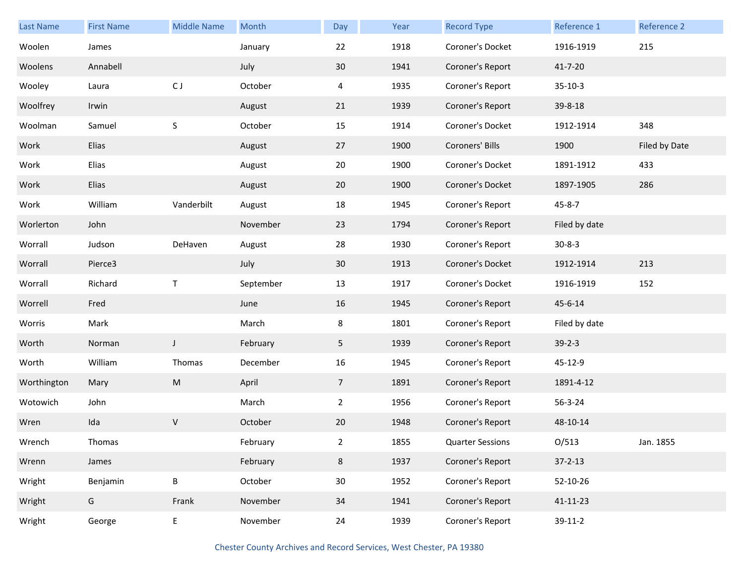| Last Name   | <b>First Name</b> | <b>Middle Name</b> | Month     | Day             | Year | <b>Record Type</b>      | Reference 1   | Reference 2   |
|-------------|-------------------|--------------------|-----------|-----------------|------|-------------------------|---------------|---------------|
| Woolen      | James             |                    | January   | 22              | 1918 | Coroner's Docket        | 1916-1919     | 215           |
| Woolens     | Annabell          |                    | July      | $30\,$          | 1941 | Coroner's Report        | 41-7-20       |               |
| Wooley      | Laura             | CJ                 | October   | 4               | 1935 | Coroner's Report        | $35-10-3$     |               |
| Woolfrey    | Irwin             |                    | August    | 21              | 1939 | Coroner's Report        | 39-8-18       |               |
| Woolman     | Samuel            | $\sf S$            | October   | 15              | 1914 | Coroner's Docket        | 1912-1914     | 348           |
| Work        | Elias             |                    | August    | 27              | 1900 | Coroners' Bills         | 1900          | Filed by Date |
| Work        | Elias             |                    | August    | 20              | 1900 | Coroner's Docket        | 1891-1912     | 433           |
| Work        | Elias             |                    | August    | 20              | 1900 | Coroner's Docket        | 1897-1905     | 286           |
| Work        | William           | Vanderbilt         | August    | 18              | 1945 | Coroner's Report        | $45 - 8 - 7$  |               |
| Worlerton   | John              |                    | November  | 23              | 1794 | Coroner's Report        | Filed by date |               |
| Worrall     | Judson            | DeHaven            | August    | 28              | 1930 | Coroner's Report        | $30 - 8 - 3$  |               |
| Worrall     | Pierce3           |                    | July      | 30              | 1913 | Coroner's Docket        | 1912-1914     | 213           |
| Worrall     | Richard           | Τ                  | September | 13              | 1917 | Coroner's Docket        | 1916-1919     | 152           |
| Worrell     | Fred              |                    | June      | 16              | 1945 | Coroner's Report        | 45-6-14       |               |
| Worris      | Mark              |                    | March     | 8               | 1801 | Coroner's Report        | Filed by date |               |
| Worth       | Norman            | J                  | February  | 5               | 1939 | Coroner's Report        | $39 - 2 - 3$  |               |
| Worth       | William           | Thomas             | December  | 16              | 1945 | Coroner's Report        | 45-12-9       |               |
| Worthington | Mary              | ${\sf M}$          | April     | $7\overline{ }$ | 1891 | Coroner's Report        | 1891-4-12     |               |
| Wotowich    | John              |                    | March     | $\overline{2}$  | 1956 | Coroner's Report        | 56-3-24       |               |
| Wren        | Ida               | V                  | October   | 20              | 1948 | Coroner's Report        | 48-10-14      |               |
| Wrench      | Thomas            |                    | February  | $\overline{2}$  | 1855 | <b>Quarter Sessions</b> | O/513         | Jan. 1855     |
| Wrenn       | James             |                    | February  | 8               | 1937 | Coroner's Report        | $37 - 2 - 13$ |               |
| Wright      | Benjamin          | B                  | October   | 30 <sup>°</sup> | 1952 | Coroner's Report        | 52-10-26      |               |
| Wright      | G                 | Frank              | November  | 34              | 1941 | Coroner's Report        | 41-11-23      |               |
| Wright      | George            | E                  | November  | 24              | 1939 | Coroner's Report        | 39-11-2       |               |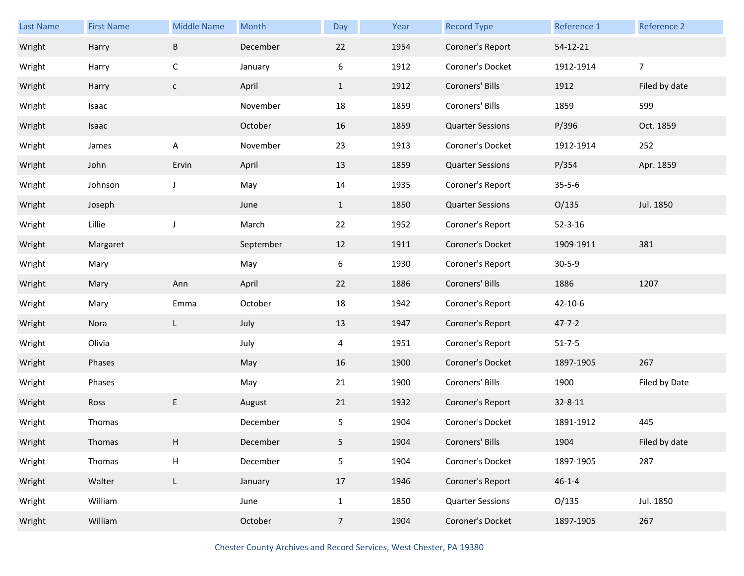| Last Name | <b>First Name</b> | <b>Middle Name</b>        | Month     | Day          | Year | <b>Record Type</b>      | Reference 1   | Reference 2    |
|-----------|-------------------|---------------------------|-----------|--------------|------|-------------------------|---------------|----------------|
| Wright    | Harry             | $\sf B$                   | December  | 22           | 1954 | Coroner's Report        | 54-12-21      |                |
| Wright    | Harry             | $\mathsf C$               | January   | 6            | 1912 | Coroner's Docket        | 1912-1914     | $\overline{7}$ |
| Wright    | Harry             | $\mathsf{C}$              | April     | $\mathbf{1}$ | 1912 | Coroners' Bills         | 1912          | Filed by date  |
| Wright    | Isaac             |                           | November  | 18           | 1859 | Coroners' Bills         | 1859          | 599            |
| Wright    | Isaac             |                           | October   | 16           | 1859 | <b>Quarter Sessions</b> | P/396         | Oct. 1859      |
| Wright    | James             | Α                         | November  | 23           | 1913 | Coroner's Docket        | 1912-1914     | 252            |
| Wright    | John              | Ervin                     | April     | 13           | 1859 | <b>Quarter Sessions</b> | P/354         | Apr. 1859      |
| Wright    | Johnson           | J                         | May       | 14           | 1935 | Coroner's Report        | $35 - 5 - 6$  |                |
| Wright    | Joseph            |                           | June      | $\mathbf{1}$ | 1850 | <b>Quarter Sessions</b> | O/135         | Jul. 1850      |
| Wright    | Lillie            | J                         | March     | 22           | 1952 | Coroner's Report        | $52 - 3 - 16$ |                |
| Wright    | Margaret          |                           | September | 12           | 1911 | Coroner's Docket        | 1909-1911     | 381            |
| Wright    | Mary              |                           | May       | 6            | 1930 | Coroner's Report        | $30 - 5 - 9$  |                |
|           |                   |                           |           |              |      |                         |               |                |
| Wright    | Mary              | Ann                       | April     | 22           | 1886 | Coroners' Bills         | 1886          | 1207           |
| Wright    | Mary              | Emma                      | October   | 18           | 1942 | Coroner's Report        | 42-10-6       |                |
| Wright    | Nora              | L                         | July      | 13           | 1947 | Coroner's Report        | $47 - 7 - 2$  |                |
| Wright    | Olivia            |                           | July      | 4            | 1951 | Coroner's Report        | $51 - 7 - 5$  |                |
| Wright    | Phases            |                           | May       | 16           | 1900 | Coroner's Docket        | 1897-1905     | 267            |
| Wright    | Phases            |                           | May       | 21           | 1900 | Coroners' Bills         | 1900          | Filed by Date  |
| Wright    | Ross              | E                         | August    | 21           | 1932 | Coroner's Report        | 32-8-11       |                |
| Wright    | Thomas            |                           | December  | 5            | 1904 | Coroner's Docket        | 1891-1912     | 445            |
| Wright    | Thomas            | Н                         | December  | 5            | 1904 | Coroners' Bills         | 1904          | Filed by date  |
| Wright    | Thomas            | $\boldsymbol{\mathsf{H}}$ | December  | 5            | 1904 | Coroner's Docket        | 1897-1905     | 287            |
| Wright    | Walter            | L                         | January   | 17           | 1946 | Coroner's Report        | $46 - 1 - 4$  |                |
| Wright    | William           |                           | June      | $\mathbf{1}$ | 1850 | <b>Quarter Sessions</b> | O/135         | Jul. 1850      |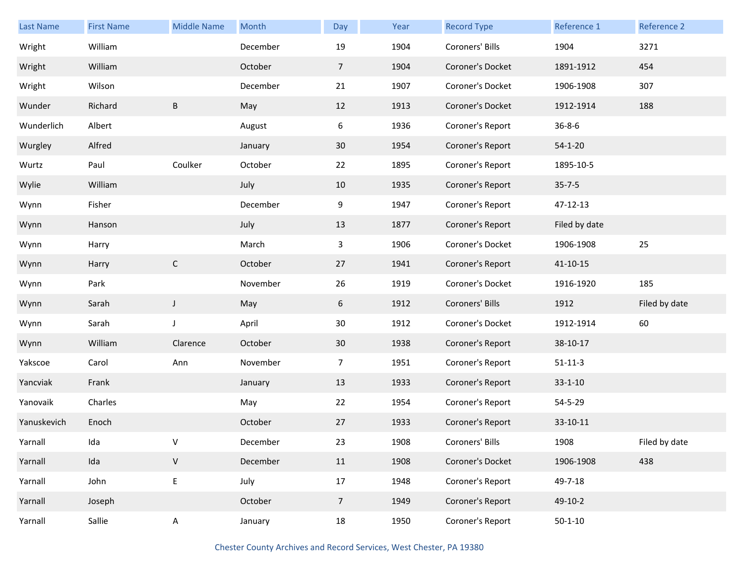| <b>Last Name</b> | <b>First Name</b> | <b>Middle Name</b> | Month    | Day             | Year | <b>Record Type</b> | Reference 1    | Reference 2   |
|------------------|-------------------|--------------------|----------|-----------------|------|--------------------|----------------|---------------|
| Wright           | William           |                    | December | 19              | 1904 | Coroners' Bills    | 1904           | 3271          |
| Wright           | William           |                    | October  | $\overline{7}$  | 1904 | Coroner's Docket   | 1891-1912      | 454           |
| Wright           | Wilson            |                    | December | 21              | 1907 | Coroner's Docket   | 1906-1908      | 307           |
| Wunder           | Richard           | B                  | May      | 12              | 1913 | Coroner's Docket   | 1912-1914      | 188           |
| Wunderlich       | Albert            |                    | August   | 6               | 1936 | Coroner's Report   | $36 - 8 - 6$   |               |
| Wurgley          | Alfred            |                    | January  | 30              | 1954 | Coroner's Report   | $54 - 1 - 20$  |               |
| Wurtz            | Paul              | Coulker            | October  | 22              | 1895 | Coroner's Report   | 1895-10-5      |               |
| Wylie            | William           |                    | July     | 10              | 1935 | Coroner's Report   | $35 - 7 - 5$   |               |
| Wynn             | Fisher            |                    | December | 9               | 1947 | Coroner's Report   | 47-12-13       |               |
| Wynn             | Hanson            |                    | July     | 13              | 1877 | Coroner's Report   | Filed by date  |               |
| Wynn             | Harry             |                    | March    | 3               | 1906 | Coroner's Docket   | 1906-1908      | 25            |
| Wynn             | Harry             | $\mathsf{C}$       | October  | 27              | 1941 | Coroner's Report   | $41 - 10 - 15$ |               |
| Wynn             | Park              |                    | November | 26              | 1919 | Coroner's Docket   | 1916-1920      | 185           |
| Wynn             | Sarah             | $\mathsf{J}$       | May      | 6               | 1912 | Coroners' Bills    | 1912           | Filed by date |
| Wynn             | Sarah             | J                  | April    | 30              | 1912 | Coroner's Docket   | 1912-1914      | 60            |
| Wynn             | William           | Clarence           | October  | 30 <sup>°</sup> | 1938 | Coroner's Report   | 38-10-17       |               |
| Yakscoe          | Carol             | Ann                | November | $\overline{7}$  | 1951 | Coroner's Report   | $51 - 11 - 3$  |               |
| Yancviak         | Frank             |                    | January  | 13              | 1933 | Coroner's Report   | $33 - 1 - 10$  |               |
| Yanovaik         | Charles           |                    | May      | 22              | 1954 | Coroner's Report   | 54-5-29        |               |
| Yanuskevich      | Enoch             |                    | October  | 27              | 1933 | Coroner's Report   | 33-10-11       |               |
| Yarnall          | Ida               | v                  | December | 23              | 1908 | Coroners' Bills    | 1908           | Filed by date |
| Yarnall          | Ida               | $\mathsf{V}$       | December | 11              | 1908 | Coroner's Docket   | 1906-1908      | 438           |
| Yarnall          | John              | $\mathsf E$        | July     | 17              | 1948 | Coroner's Report   | 49-7-18        |               |
| Yarnall          | Joseph            |                    | October  | $7\overline{ }$ | 1949 | Coroner's Report   | 49-10-2        |               |
| Yarnall          | Sallie            | $\mathsf{A}$       | January  | 18              | 1950 | Coroner's Report   | $50 - 1 - 10$  |               |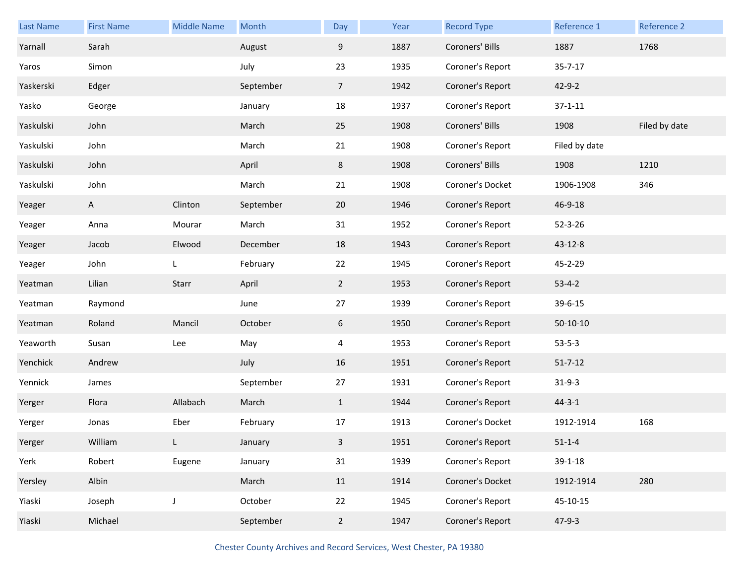| Last Name | <b>First Name</b> | <b>Middle Name</b> | Month     | Day             | Year | <b>Record Type</b> | Reference 1   | Reference 2   |
|-----------|-------------------|--------------------|-----------|-----------------|------|--------------------|---------------|---------------|
| Yarnall   | Sarah             |                    | August    | 9               | 1887 | Coroners' Bills    | 1887          | 1768          |
| Yaros     | Simon             |                    | July      | 23              | 1935 | Coroner's Report   | $35 - 7 - 17$ |               |
| Yaskerski | Edger             |                    | September | $7\overline{ }$ | 1942 | Coroner's Report   | $42 - 9 - 2$  |               |
| Yasko     | George            |                    | January   | 18              | 1937 | Coroner's Report   | $37 - 1 - 11$ |               |
| Yaskulski | John              |                    | March     | 25              | 1908 | Coroners' Bills    | 1908          | Filed by date |
| Yaskulski | John              |                    | March     | 21              | 1908 | Coroner's Report   | Filed by date |               |
| Yaskulski | John              |                    | April     | 8               | 1908 | Coroners' Bills    | 1908          | 1210          |
| Yaskulski | John              |                    | March     | 21              | 1908 | Coroner's Docket   | 1906-1908     | 346           |
| Yeager    | A                 | Clinton            | September | 20              | 1946 | Coroner's Report   | 46-9-18       |               |
| Yeager    | Anna              | Mourar             | March     | 31              | 1952 | Coroner's Report   | $52 - 3 - 26$ |               |
| Yeager    | Jacob             | Elwood             | December  | 18              | 1943 | Coroner's Report   | 43-12-8       |               |
| Yeager    | John              | L                  | February  | 22              | 1945 | Coroner's Report   | 45-2-29       |               |
| Yeatman   | Lilian            | Starr              | April     | $2^{\circ}$     | 1953 | Coroner's Report   | $53 - 4 - 2$  |               |
| Yeatman   | Raymond           |                    | June      | 27              | 1939 | Coroner's Report   | 39-6-15       |               |
| Yeatman   | Roland            | Mancil             | October   | 6               | 1950 | Coroner's Report   | $50-10-10$    |               |
| Yeaworth  | Susan             | Lee                | May       | 4               | 1953 | Coroner's Report   | $53 - 5 - 3$  |               |
| Yenchick  | Andrew            |                    | July      | 16              | 1951 | Coroner's Report   | $51 - 7 - 12$ |               |
| Yennick   | James             |                    | September | 27              | 1931 | Coroner's Report   | $31-9-3$      |               |
| Yerger    | Flora             | Allabach           | March     | $\mathbf{1}$    | 1944 | Coroner's Report   | $44 - 3 - 1$  |               |
| Yerger    | Jonas             | Eber               | February  | 17              | 1913 | Coroner's Docket   | 1912-1914     | 168           |
| Yerger    | William           | L                  | January   | $\overline{3}$  | 1951 | Coroner's Report   | $51 - 1 - 4$  |               |
| Yerk      | Robert            | Eugene             | January   | 31              | 1939 | Coroner's Report   | $39 - 1 - 18$ |               |
| Yersley   | Albin             |                    | March     | 11              | 1914 | Coroner's Docket   | 1912-1914     | 280           |
| Yiaski    | Joseph            | J                  | October   | 22              | 1945 | Coroner's Report   | 45-10-15      |               |
| Yiaski    | Michael           |                    | September | $2^{\circ}$     | 1947 | Coroner's Report   | $47 - 9 - 3$  |               |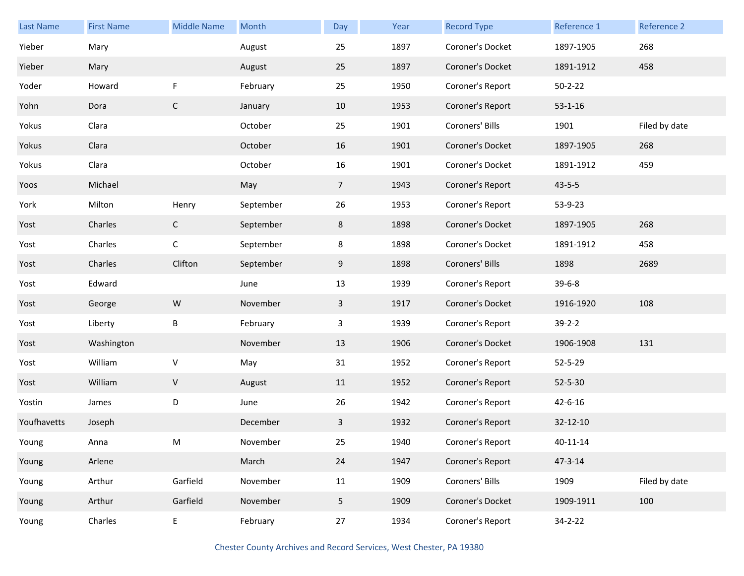| <b>Last Name</b> | <b>First Name</b> | <b>Middle Name</b> | Month     | Day            | Year | <b>Record Type</b> | Reference 1   | Reference 2   |
|------------------|-------------------|--------------------|-----------|----------------|------|--------------------|---------------|---------------|
| Yieber           | Mary              |                    | August    | 25             | 1897 | Coroner's Docket   | 1897-1905     | 268           |
| Yieber           | Mary              |                    | August    | 25             | 1897 | Coroner's Docket   | 1891-1912     | 458           |
| Yoder            | Howard            | F                  | February  | 25             | 1950 | Coroner's Report   | $50 - 2 - 22$ |               |
| Yohn             | Dora              | $\mathsf{C}$       | January   | 10             | 1953 | Coroner's Report   | $53 - 1 - 16$ |               |
| Yokus            | Clara             |                    | October   | 25             | 1901 | Coroners' Bills    | 1901          | Filed by date |
| Yokus            | Clara             |                    | October   | 16             | 1901 | Coroner's Docket   | 1897-1905     | 268           |
| Yokus            | Clara             |                    | October   | 16             | 1901 | Coroner's Docket   | 1891-1912     | 459           |
| Yoos             | Michael           |                    | May       | $\overline{7}$ | 1943 | Coroner's Report   | $43 - 5 - 5$  |               |
| York             | Milton            | Henry              | September | 26             | 1953 | Coroner's Report   | 53-9-23       |               |
| Yost             | Charles           | $\mathsf{C}$       | September | 8              | 1898 | Coroner's Docket   | 1897-1905     | 268           |
| Yost             | Charles           | $\mathsf C$        | September | 8              | 1898 | Coroner's Docket   | 1891-1912     | 458           |
| Yost             | Charles           | Clifton            | September | 9              | 1898 | Coroners' Bills    | 1898          | 2689          |
| Yost             | Edward            |                    | June      | 13             | 1939 | Coroner's Report   | $39 - 6 - 8$  |               |
| Yost             | George            | ${\sf W}$          | November  | $\mathbf{3}$   | 1917 | Coroner's Docket   | 1916-1920     | 108           |
| Yost             | Liberty           | B                  | February  | 3              | 1939 | Coroner's Report   | $39 - 2 - 2$  |               |
| Yost             | Washington        |                    | November  | 13             | 1906 | Coroner's Docket   | 1906-1908     | 131           |
| Yost             | William           | ${\sf V}$          | May       | 31             | 1952 | Coroner's Report   | 52-5-29       |               |
| Yost             | William           | ${\sf V}$          | August    | 11             | 1952 | Coroner's Report   | $52 - 5 - 30$ |               |
| Yostin           | James             | D                  | June      | 26             | 1942 | Coroner's Report   | $42 - 6 - 16$ |               |
| Youfhavetts      | Joseph            |                    | December  | 3              | 1932 | Coroner's Report   | 32-12-10      |               |
| Young            | Anna              | M                  | November  | 25             | 1940 | Coroner's Report   | 40-11-14      |               |
| Young            | Arlene            |                    | March     | 24             | 1947 | Coroner's Report   | $47 - 3 - 14$ |               |
| Young            | Arthur            | Garfield           | November  | 11             | 1909 | Coroners' Bills    | 1909          | Filed by date |
| Young            | Arthur            | Garfield           | November  | 5              | 1909 | Coroner's Docket   | 1909-1911     | 100           |
| Young            | Charles           | E                  | February  | 27             | 1934 | Coroner's Report   | 34-2-22       |               |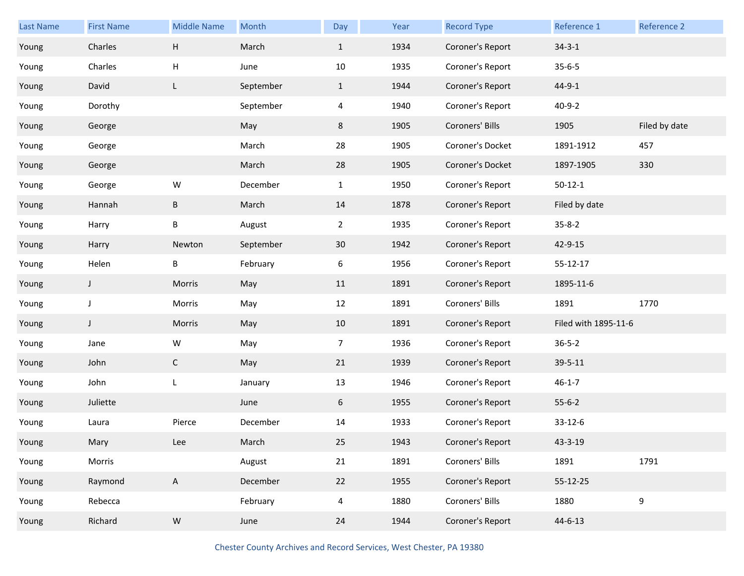| Last Name | <b>First Name</b> | <b>Middle Name</b> | Month     | Day            | Year | <b>Record Type</b> | Reference 1          | Reference 2   |
|-----------|-------------------|--------------------|-----------|----------------|------|--------------------|----------------------|---------------|
| Young     | Charles           | H                  | March     | $\mathbf{1}$   | 1934 | Coroner's Report   | $34 - 3 - 1$         |               |
| Young     | Charles           | н                  | June      | 10             | 1935 | Coroner's Report   | $35 - 6 - 5$         |               |
| Young     | David             | L                  | September | $\mathbf{1}$   | 1944 | Coroner's Report   | $44 - 9 - 1$         |               |
| Young     | Dorothy           |                    | September | 4              | 1940 | Coroner's Report   | $40 - 9 - 2$         |               |
| Young     | George            |                    | May       | 8              | 1905 | Coroners' Bills    | 1905                 | Filed by date |
| Young     | George            |                    | March     | 28             | 1905 | Coroner's Docket   | 1891-1912            | 457           |
| Young     | George            |                    | March     | 28             | 1905 | Coroner's Docket   | 1897-1905            | 330           |
| Young     | George            | W                  | December  | $\mathbf{1}$   | 1950 | Coroner's Report   | $50 - 12 - 1$        |               |
| Young     | Hannah            | B                  | March     | 14             | 1878 | Coroner's Report   | Filed by date        |               |
| Young     | Harry             | Β                  | August    | $\overline{a}$ | 1935 | Coroner's Report   | $35 - 8 - 2$         |               |
| Young     | Harry             | Newton             | September | 30             | 1942 | Coroner's Report   | 42-9-15              |               |
| Young     | Helen             | В                  | February  | 6              | 1956 | Coroner's Report   | 55-12-17             |               |
| Young     | J                 | Morris             | May       | 11             | 1891 | Coroner's Report   | 1895-11-6            |               |
| Young     | J                 | Morris             | May       | 12             | 1891 | Coroners' Bills    | 1891                 | 1770          |
| Young     | J                 | Morris             | May       | 10             | 1891 | Coroner's Report   | Filed with 1895-11-6 |               |
| Young     | Jane              | W                  | May       | 7              | 1936 | Coroner's Report   | $36 - 5 - 2$         |               |
| Young     | John              | $\mathsf{C}$       | May       | 21             | 1939 | Coroner's Report   | 39-5-11              |               |
| Young     | John              | L                  | January   | 13             | 1946 | Coroner's Report   | $46 - 1 - 7$         |               |
| Young     | Juliette          |                    | June      | 6              | 1955 | Coroner's Report   | $55 - 6 - 2$         |               |
| Young     | Laura             | Pierce             | December  | 14             | 1933 | Coroner's Report   | $33 - 12 - 6$        |               |
| Young     | Mary              | Lee                | March     | 25             | 1943 | Coroner's Report   | 43-3-19              |               |
| Young     | Morris            |                    | August    | 21             | 1891 | Coroners' Bills    | 1891                 | 1791          |
| Young     | Raymond           | $\mathsf{A}$       | December  | 22             | 1955 | Coroner's Report   | 55-12-25             |               |
| Young     | Rebecca           |                    | February  | $\overline{4}$ | 1880 | Coroners' Bills    | 1880                 | 9             |
| Young     | Richard           | ${\sf W}$          | June      | 24             | 1944 | Coroner's Report   | $44 - 6 - 13$        |               |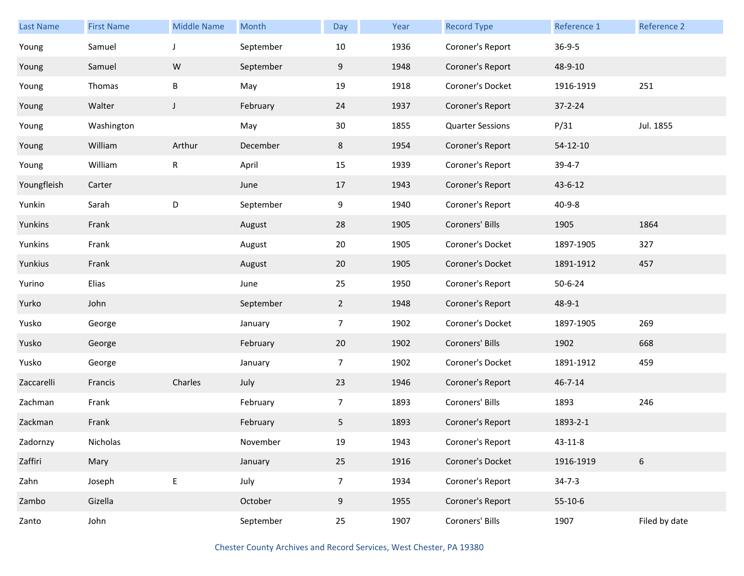| <b>Last Name</b> | <b>First Name</b> | <b>Middle Name</b> | Month     | Day            | Year | <b>Record Type</b>      | Reference 1   | Reference 2     |
|------------------|-------------------|--------------------|-----------|----------------|------|-------------------------|---------------|-----------------|
| Young            | Samuel            | J                  | September | 10             | 1936 | Coroner's Report        | $36 - 9 - 5$  |                 |
| Young            | Samuel            | ${\sf W}$          | September | 9              | 1948 | Coroner's Report        | 48-9-10       |                 |
| Young            | Thomas            | B                  | May       | 19             | 1918 | Coroner's Docket        | 1916-1919     | 251             |
| Young            | Walter            | J                  | February  | 24             | 1937 | Coroner's Report        | $37 - 2 - 24$ |                 |
| Young            | Washington        |                    | May       | 30             | 1855 | <b>Quarter Sessions</b> | P/31          | Jul. 1855       |
| Young            | William           | Arthur             | December  | 8              | 1954 | Coroner's Report        | $54-12-10$    |                 |
| Young            | William           | ${\sf R}$          | April     | 15             | 1939 | Coroner's Report        | $39 - 4 - 7$  |                 |
| Youngfleish      | Carter            |                    | June      | 17             | 1943 | Coroner's Report        | 43-6-12       |                 |
| Yunkin           | Sarah             | $\mathsf D$        | September | 9              | 1940 | Coroner's Report        | $40 - 9 - 8$  |                 |
| Yunkins          | Frank             |                    | August    | 28             | 1905 | Coroners' Bills         | 1905          | 1864            |
| Yunkins          | Frank             |                    | August    | 20             | 1905 | Coroner's Docket        | 1897-1905     | 327             |
| Yunkius          | Frank             |                    | August    | 20             | 1905 | Coroner's Docket        | 1891-1912     | 457             |
| Yurino           | Elias             |                    | June      | 25             | 1950 | Coroner's Report        | $50 - 6 - 24$ |                 |
| Yurko            | John              |                    | September | $\overline{2}$ | 1948 | Coroner's Report        | 48-9-1        |                 |
| Yusko            | George            |                    | January   | $\overline{7}$ | 1902 | Coroner's Docket        | 1897-1905     | 269             |
| Yusko            | George            |                    | February  | 20             | 1902 | Coroners' Bills         | 1902          | 668             |
| Yusko            | George            |                    | January   | $\overline{7}$ | 1902 | Coroner's Docket        | 1891-1912     | 459             |
| Zaccarelli       | Francis           | Charles            | July      | 23             | 1946 | Coroner's Report        | $46 - 7 - 14$ |                 |
| Zachman          | Frank             |                    | February  | $\overline{7}$ | 1893 | Coroners' Bills         | 1893          | 246             |
| Zackman          | Frank             |                    | February  | 5              | 1893 | Coroner's Report        | 1893-2-1      |                 |
| Zadornzy         | Nicholas          |                    | November  | 19             | 1943 | Coroner's Report        | $43 - 11 - 8$ |                 |
| Zaffiri          | Mary              |                    | January   | 25             | 1916 | Coroner's Docket        | 1916-1919     | $6\overline{6}$ |
| Zahn             | Joseph            | $\mathsf E$        | July      | $\overline{7}$ | 1934 | Coroner's Report        | $34 - 7 - 3$  |                 |
| Zambo            | Gizella           |                    | October   | 9              | 1955 | Coroner's Report        | $55-10-6$     |                 |
| Zanto            | John              |                    | September | 25             | 1907 | Coroners' Bills         | 1907          | Filed by date   |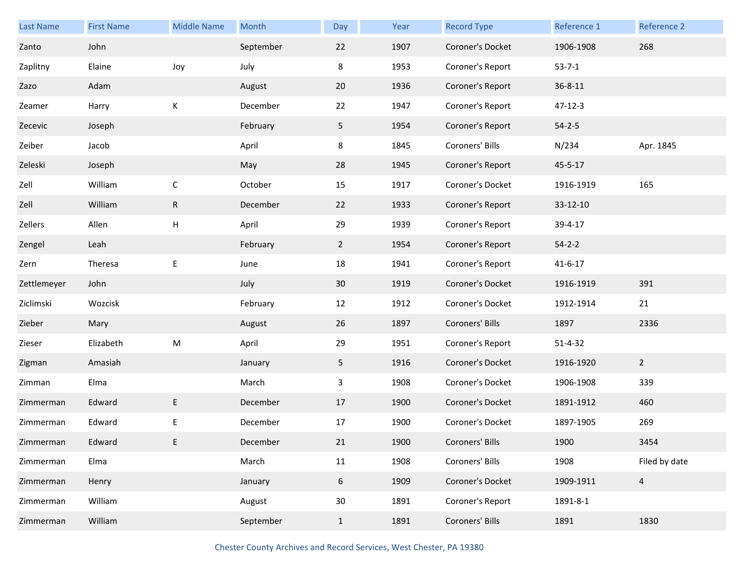| <b>Last Name</b> | <b>First Name</b> | <b>Middle Name</b>        | Month     | Day            | Year | <b>Record Type</b> | Reference 1   | Reference 2    |
|------------------|-------------------|---------------------------|-----------|----------------|------|--------------------|---------------|----------------|
| Zanto            | John              |                           | September | 22             | 1907 | Coroner's Docket   | 1906-1908     | 268            |
| Zaplitny         | Elaine            | Joy                       | July      | 8              | 1953 | Coroner's Report   | $53 - 7 - 1$  |                |
| Zazo             | Adam              |                           | August    | 20             | 1936 | Coroner's Report   | $36 - 8 - 11$ |                |
| Zeamer           | Harry             | К                         | December  | 22             | 1947 | Coroner's Report   | $47 - 12 - 3$ |                |
| Zecevic          | Joseph            |                           | February  | 5 <sub>1</sub> | 1954 | Coroner's Report   | $54 - 2 - 5$  |                |
| Zeiber           | Jacob             |                           | April     | 8              | 1845 | Coroners' Bills    | N/234         | Apr. 1845      |
| Zeleski          | Joseph            |                           | May       | 28             | 1945 | Coroner's Report   | $45 - 5 - 17$ |                |
| Zell             | William           | С                         | October   | 15             | 1917 | Coroner's Docket   | 1916-1919     | 165            |
| Zell             | William           | $\mathsf R$               | December  | 22             | 1933 | Coroner's Report   | 33-12-10      |                |
| Zellers          | Allen             | $\boldsymbol{\mathsf{H}}$ | April     | 29             | 1939 | Coroner's Report   | 39-4-17       |                |
| Zengel           | Leah              |                           | February  | $\overline{2}$ | 1954 | Coroner's Report   | $54 - 2 - 2$  |                |
| Zern             | Theresa           | Е                         | June      | 18             | 1941 | Coroner's Report   | $41 - 6 - 17$ |                |
| Zettlemeyer      | John              |                           | July      | 30             | 1919 | Coroner's Docket   | 1916-1919     | 391            |
| Ziclimski        | Wozcisk           |                           | February  | 12             | 1912 | Coroner's Docket   | 1912-1914     | 21             |
| Zieber           | Mary              |                           | August    | 26             | 1897 | Coroners' Bills    | 1897          | 2336           |
| Zieser           | Elizabeth         | M                         | April     | 29             | 1951 | Coroner's Report   | $51 - 4 - 32$ |                |
| Zigman           | Amasiah           |                           | January   | 5              | 1916 | Coroner's Docket   | 1916-1920     | $\overline{2}$ |
| Zimman           | Elma              |                           | March     | 3              | 1908 | Coroner's Docket   | 1906-1908     | 339            |
| Zimmerman        | Edward            | E                         | December  | 17             | 1900 | Coroner's Docket   | 1891-1912     | 460            |
| Zimmerman        | Edward            | E                         | December  | 17             | 1900 | Coroner's Docket   | 1897-1905     | 269            |
| Zimmerman        | Edward            | E                         | December  | 21             | 1900 | Coroners' Bills    | 1900          | 3454           |
| Zimmerman        | Elma              |                           | March     | 11             | 1908 | Coroners' Bills    | 1908          | Filed by date  |
| Zimmerman        | Henry             |                           | January   | 6              | 1909 | Coroner's Docket   | 1909-1911     | $\overline{4}$ |
| Zimmerman        | William           |                           | August    | 30             | 1891 | Coroner's Report   | 1891-8-1      |                |
| Zimmerman        | William           |                           | September | $\mathbf{1}$   | 1891 | Coroners' Bills    | 1891          | 1830           |